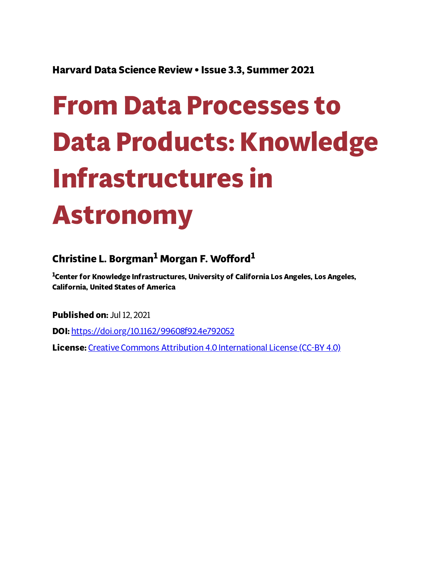**Harvard Data Science Review • Issue 3.3, Summer 2021**

# **From Data Processes to Data Products: Knowledge Infrastructures in Astronomy**

# **Christine L. Borgman <sup>1</sup> Morgan F. Woord 1**

**<sup>1</sup>Center for Knowledge Infrastructures, University of California Los Angeles, Los Angeles, California, United States of America**

**Published on:** Jul 12, 2021

**DOI:** <https://doi.org/10.1162/99608f92.4e792052>

**License:** Creative Commons Attribution 4.0 [International](https://creativecommons.org/licenses/by/4.0/) License (CC-BY 4.0)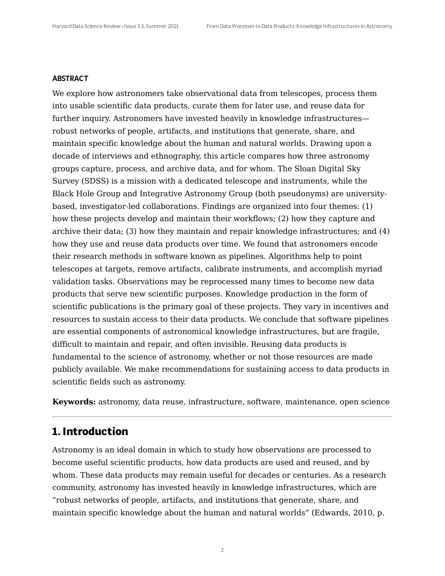#### **ABSTRACT**

We explore how astronomers take observational data from telescopes, process them into usable scientific data products, curate them for later use, and reuse data for further inquiry. Astronomers have invested heavily in knowledge infrastructures robust networks of people, artifacts, and institutions that generate, share, and maintain specific knowledge about the human and natural worlds. Drawing upon a decade of interviews and ethnography, this article compares how three astronomy groups capture, process, and archive data, and for whom. The Sloan Digital Sky Survey (SDSS) is a mission with a dedicated telescope and instruments, while the Black Hole Group and Integrative Astronomy Group (both pseudonyms) are universitybased, investigator-led collaborations. Findings are organized into four themes: (1) how these projects develop and maintain their workflows; (2) how they capture and archive their data; (3) how they maintain and repair knowledge infrastructures; and (4) how they use and reuse data products over time. We found that astronomers encode their research methods in software known as pipelines. Algorithms help to point telescopes at targets, remove artifacts, calibrate instruments, and accomplish myriad validation tasks. Observations may be reprocessed many times to become new data products that serve new scientific purposes. Knowledge production in the form of scientific publications is the primary goal of these projects. They vary in incentives and resources to sustain access to their data products. We conclude that software pipelines are essential components of astronomical knowledge infrastructures, but are fragile, difficult to maintain and repair, and often invisible. Reusing data products is fundamental to the science of astronomy, whether or not those resources are made publicly available. We make recommendations for sustaining access to data products in scientific fields such as astronomy.

**Keywords:** astronomy, data reuse, infrastructure, software, maintenance, open science

#### **1. Introduction**

Astronomy is an ideal domain in which to study how observations are processed to become useful scientific products, how data products are used and reused, and by whom. These data products may remain useful for decades or centuries. As a research community, astronomy has invested heavily in knowledge infrastructures, which are "robust networks of people, artifacts, and institutions that generate, share, and maintain specific knowledge about the human and natural worlds" (Edwards, 2010, p.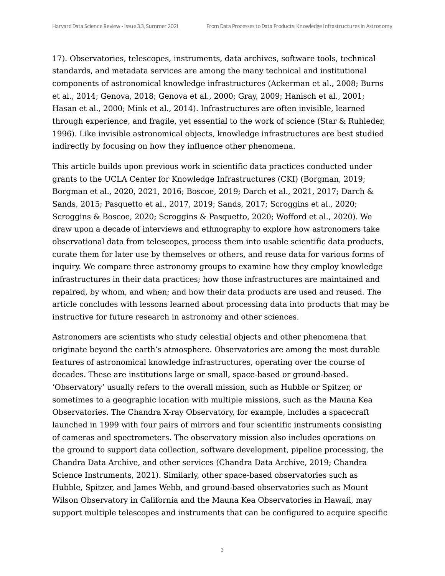17). Observatories, telescopes, instruments, data archives, software tools, technical standards, and metadata services are among the many technical and institutional components of astronomical knowledge infrastructures (Ackerman et al., 2008; Burns et al., 2014; Genova, 2018; Genova et al., 2000; Gray, 2009; Hanisch et al., 2001; Hasan et al., 2000; Mink et al., 2014). Infrastructures are often invisible, learned through experience, and fragile, yet essential to the work of science (Star & Ruhleder, 1996). Like invisible astronomical objects, knowledge infrastructures are best studied indirectly by focusing on how they influence other phenomena.

This article builds upon previous work in scientific data practices conducted under grants to the UCLA Center for Knowledge Infrastructures (CKI) (Borgman, 2019; Borgman et al., 2020, 2021, 2016; Boscoe, 2019; Darch et al., 2021, 2017; Darch & Sands, 2015; Pasquetto et al., 2017, 2019; Sands, 2017; Scroggins et al., 2020; Scroggins & Boscoe, 2020; Scroggins & Pasquetto, 2020; Wofford et al., 2020). We draw upon a decade of interviews and ethnography to explore how astronomers take observational data from telescopes, process them into usable scientific data products, curate them for later use by themselves or others, and reuse data for various forms of inquiry. We compare three astronomy groups to examine how they employ knowledge infrastructures in their data practices; how those infrastructures are maintained and repaired, by whom, and when; and how their data products are used and reused. The article concludes with lessons learned about processing data into products that may be instructive for future research in astronomy and other sciences.

Astronomers are scientists who study celestial objects and other phenomena that originate beyond the earth's atmosphere. Observatories are among the most durable features of astronomical knowledge infrastructures, operating over the course of decades. These are institutions large or small, space-based or ground-based. 'Observatory' usually refers to the overall mission, such as Hubble or Spitzer, or sometimes to a geographic location with multiple missions, such as the Mauna Kea Observatories. The Chandra X-ray Observatory, for example, includes a spacecraft launched in 1999 with four pairs of mirrors and four scientific instruments consisting of cameras and spectrometers. The observatory mission also includes operations on the ground to support data collection, software development, pipeline processing, the Chandra Data Archive, and other services (Chandra Data Archive, 2019; Chandra Science Instruments, 2021). Similarly, other space-based observatories such as Hubble, Spitzer, and James Webb, and ground-based observatories such as Mount Wilson Observatory in California and the Mauna Kea Observatories in Hawaii, may support multiple telescopes and instruments that can be configured to acquire specific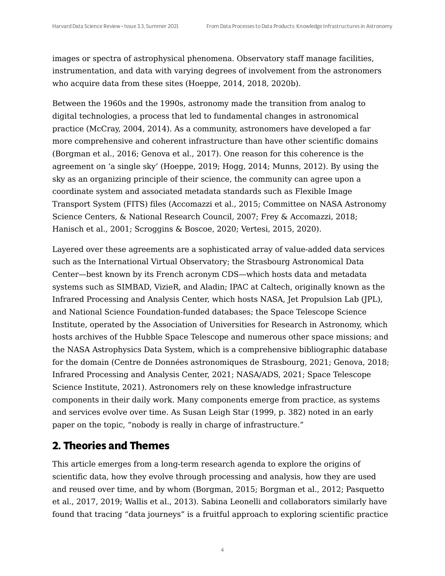images or spectra of astrophysical phenomena. Observatory staff manage facilities, instrumentation, and data with varying degrees of involvement from the astronomers who acquire data from these sites (Hoeppe, 2014, 2018, 2020b).

Between the 1960s and the 1990s, astronomy made the transition from analog to digital technologies, a process that led to fundamental changes in astronomical practice (McCray, 2004, 2014). As a community, astronomers have developed a far more comprehensive and coherent infrastructure than have other scientific domains (Borgman et al., 2016; Genova et al., 2017). One reason for this coherence is the agreement on 'a single sky' (Hoeppe, 2019; Hogg, 2014; Munns, 2012). By using the sky as an organizing principle of their science, the community can agree upon a coordinate system and associated metadata standards such as Flexible Image Transport System (FITS) files (Accomazzi et al., 2015; Committee on NASA Astronomy Science Centers, & National Research Council, 2007; Frey & Accomazzi, 2018; Hanisch et al., 2001; Scroggins & Boscoe, 2020; Vertesi, 2015, 2020).

Layered over these agreements are a sophisticated array of value-added data services such as the International Virtual Observatory; the Strasbourg Astronomical Data Center—best known by its French acronym CDS—which hosts data and metadata systems such as SIMBAD, VizieR, and Aladin; IPAC at Caltech, originally known as the Infrared Processing and Analysis Center, which hosts NASA, Jet Propulsion Lab (JPL), and National Science Foundation-funded databases; the Space Telescope Science Institute, operated by the Association of Universities for Research in Astronomy, which hosts archives of the Hubble Space Telescope and numerous other space missions; and the NASA Astrophysics Data System, which is a comprehensive bibliographic database for the domain (Centre de Données astronomiques de Strasbourg, 2021; Genova, 2018; Infrared Processing and Analysis Center, 2021; NASA/ADS, 2021; Space Telescope Science Institute, 2021). Astronomers rely on these knowledge infrastructure components in their daily work. Many components emerge from practice, as systems and services evolve over time. As Susan Leigh Star (1999, p. 382) noted in an early paper on the topic, "nobody is really in charge of infrastructure."

#### **2. Theories and Themes**

This article emerges from a long-term research agenda to explore the origins of scientific data, how they evolve through processing and analysis, how they are used and reused over time, and by whom (Borgman, 2015; Borgman et al., 2012; Pasquetto et al., 2017, 2019; Wallis et al., 2013). Sabina Leonelli and collaborators similarly have found that tracing "data journeys" is a fruitful approach to exploring scientific practice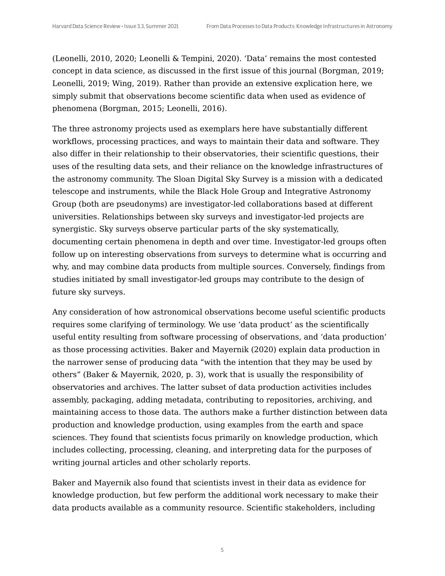(Leonelli, 2010, 2020; Leonelli & Tempini, 2020). 'Data' remains the most contested concept in data science, as discussed in the first issue of this journal (Borgman, 2019; Leonelli, 2019; Wing, 2019). Rather than provide an extensive explication here, we simply submit that observations become scientific data when used as evidence of phenomena (Borgman, 2015; Leonelli, 2016).

The three astronomy projects used as exemplars here have substantially different workflows, processing practices, and ways to maintain their data and software. They also differ in their relationship to their observatories, their scientific questions, their uses of the resulting data sets, and their reliance on the knowledge infrastructures of the astronomy community. The Sloan Digital Sky Survey is a mission with a dedicated telescope and instruments, while the Black Hole Group and Integrative Astronomy Group (both are pseudonyms) are investigator-led collaborations based at different universities. Relationships between sky surveys and investigator-led projects are synergistic. Sky surveys observe particular parts of the sky systematically, documenting certain phenomena in depth and over time. Investigator-led groups often follow up on interesting observations from surveys to determine what is occurring and why, and may combine data products from multiple sources. Conversely, findings from studies initiated by small investigator-led groups may contribute to the design of future sky surveys.

Any consideration of how astronomical observations become useful scientific products requires some clarifying of terminology. We use 'data product' as the scientifically useful entity resulting from software processing of observations, and 'data production' as those processing activities. Baker and Mayernik (2020) explain data production in the narrower sense of producing data "with the intention that they may be used by others" (Baker & Mayernik, 2020, p. 3), work that is usually the responsibility of observatories and archives. The latter subset of data production activities includes assembly, packaging, adding metadata, contributing to repositories, archiving, and maintaining access to those data. The authors make a further distinction between data production and knowledge production, using examples from the earth and space sciences. They found that scientists focus primarily on knowledge production, which includes collecting, processing, cleaning, and interpreting data for the purposes of writing journal articles and other scholarly reports.

Baker and Mayernik also found that scientists invest in their data as evidence for knowledge production, but few perform the additional work necessary to make their data products available as a community resource. Scientific stakeholders, including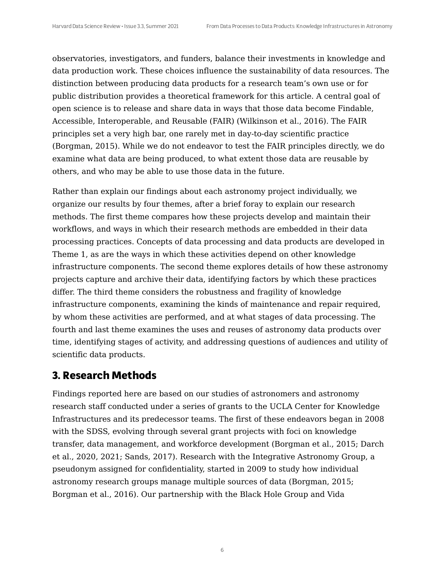observatories, investigators, and funders, balance their investments in knowledge and data production work. These choices influence the sustainability of data resources. The distinction between producing data products for a research team's own use or for public distribution provides a theoretical framework for this article. A central goal of open science is to release and share data in ways that those data become Findable, Accessible, Interoperable, and Reusable (FAIR) (Wilkinson et al., 2016). The FAIR principles set a very high bar, one rarely met in day-to-day scientific practice (Borgman, 2015). While we do not endeavor to test the FAIR principles directly, we do examine what data are being produced, to what extent those data are reusable by others, and who may be able to use those data in the future.

Rather than explain our findings about each astronomy project individually, we organize our results by four themes, after a brief foray to explain our research methods. The first theme compares how these projects develop and maintain their workflows, and ways in which their research methods are embedded in their data processing practices. Concepts of data processing and data products are developed in Theme 1, as are the ways in which these activities depend on other knowledge infrastructure components. The second theme explores details of how these astronomy projects capture and archive their data, identifying factors by which these practices differ. The third theme considers the robustness and fragility of knowledge infrastructure components, examining the kinds of maintenance and repair required, by whom these activities are performed, and at what stages of data processing. The fourth and last theme examines the uses and reuses of astronomy data products over time, identifying stages of activity, and addressing questions of audiences and utility of scientific data products.

#### **3. Research Methods**

Findings reported here are based on our studies of astronomers and astronomy research staff conducted under a series of grants to the UCLA Center for Knowledge Infrastructures and its predecessor teams. The first of these endeavors began in 2008 with the SDSS, evolving through several grant projects with foci on knowledge transfer, data management, and workforce development (Borgman et al., 2015; Darch et al., 2020, 2021; Sands, 2017). Research with the Integrative Astronomy Group, a pseudonym assigned for confidentiality, started in 2009 to study how individual astronomy research groups manage multiple sources of data (Borgman, 2015; Borgman et al., 2016). Our partnership with the Black Hole Group and Vida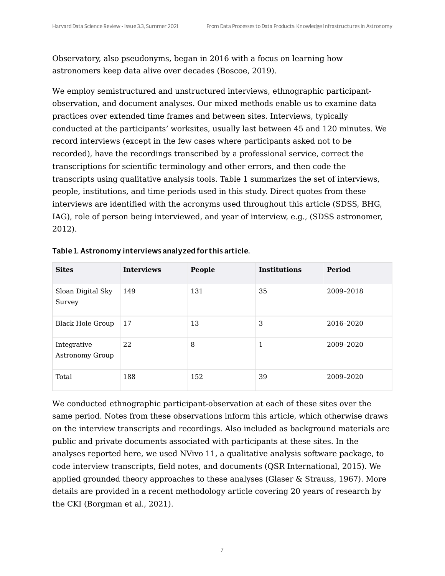Observatory, also pseudonyms, began in 2016 with a focus on learning how astronomers keep data alive over decades (Boscoe, 2019).

We employ semistructured and unstructured interviews, ethnographic participantobservation, and document analyses. Our mixed methods enable us to examine data practices over extended time frames and between sites. Interviews, typically conducted at the participants' worksites, usually last between 45 and 120 minutes. We record interviews (except in the few cases where participants asked not to be recorded), have the recordings transcribed by a professional service, correct the transcriptions for scientific terminology and other errors, and then code the transcripts using qualitative analysis tools. Table 1 summarizes the set of interviews, people, institutions, and time periods used in this study. Direct quotes from these interviews are identified with the acronyms used throughout this article (SDSS, BHG, IAG), role of person being interviewed, and year of interview, e.g., (SDSS astronomer, 2012).

| <b>Sites</b>                          | <b>Interviews</b> | People | <b>Institutions</b> | Period    |
|---------------------------------------|-------------------|--------|---------------------|-----------|
| Sloan Digital Sky<br>Survey           | 149               | 131    | 35                  | 2009-2018 |
| Black Hole Group                      | 17                | 13     | 3                   | 2016-2020 |
| Integrative<br><b>Astronomy Group</b> | 22                | 8      | 1                   | 2009-2020 |
| Total                                 | 188               | 152    | 39                  | 2009-2020 |

|  |  | Table 1. Astronomy interviews analyzed for this article. |
|--|--|----------------------------------------------------------|
|--|--|----------------------------------------------------------|

We conducted ethnographic participant-observation at each of these sites over the same period. Notes from these observations inform this article, which otherwise draws on the interview transcripts and recordings. Also included as background materials are public and private documents associated with participants at these sites. In the analyses reported here, we used NVivo 11, a qualitative analysis software package, to code interview transcripts, field notes, and documents (QSR International, 2015). We applied grounded theory approaches to these analyses (Glaser & Strauss, 1967). More details are provided in a recent methodology article covering 20 years of research by the CKI (Borgman et al., 2021).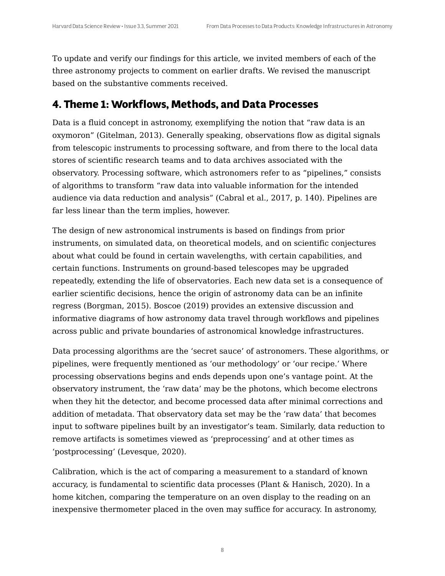To update and verify our findings for this article, we invited members of each of the three astronomy projects to comment on earlier drafts. We revised the manuscript based on the substantive comments received.

#### **4. Theme 1: Workflows, Methods, and Data Processes**

Data is a fluid concept in astronomy, exemplifying the notion that "raw data is an oxymoron" (Gitelman, 2013). Generally speaking, observations flow as digital signals from telescopic instruments to processing software, and from there to the local data stores of scientific research teams and to data archives associated with the observatory. Processing software, which astronomers refer to as "pipelines," consists of algorithms to transform "raw data into valuable information for the intended audience via data reduction and analysis" (Cabral et al., 2017, p. 140). Pipelines are far less linear than the term implies, however.

The design of new astronomical instruments is based on findings from prior instruments, on simulated data, on theoretical models, and on scientific conjectures about what could be found in certain wavelengths, with certain capabilities, and certain functions. Instruments on ground-based telescopes may be upgraded repeatedly, extending the life of observatories. Each new data set is a consequence of earlier scientific decisions, hence the origin of astronomy data can be an infinite regress (Borgman, 2015). Boscoe (2019) provides an extensive discussion and informative diagrams of how astronomy data travel through workflows and pipelines across public and private boundaries of astronomical knowledge infrastructures.

Data processing algorithms are the 'secret sauce' of astronomers. These algorithms, or pipelines, were frequently mentioned as 'our methodology' or 'our recipe.' Where processing observations begins and ends depends upon one's vantage point. At the observatory instrument, the 'raw data' may be the photons, which become electrons when they hit the detector, and become processed data after minimal corrections and addition of metadata. That observatory data set may be the 'raw data' that becomes input to software pipelines built by an investigator's team. Similarly, data reduction to remove artifacts is sometimes viewed as 'preprocessing' and at other times as 'postprocessing' (Levesque, 2020).

Calibration, which is the act of comparing a measurement to a standard of known accuracy, is fundamental to scientific data processes (Plant & Hanisch, 2020). In a home kitchen, comparing the temperature on an oven display to the reading on an inexpensive thermometer placed in the oven may suffice for accuracy. In astronomy,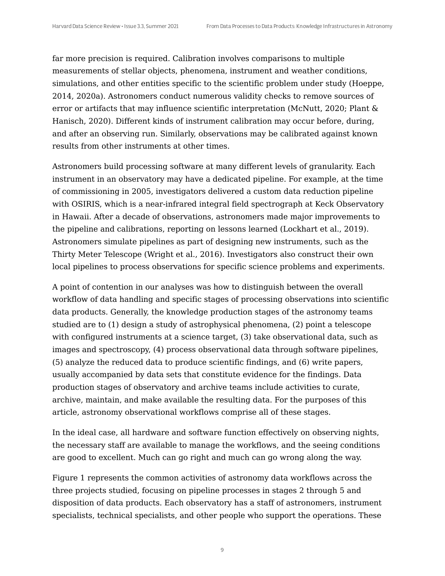far more precision is required. Calibration involves comparisons to multiple measurements of stellar objects, phenomena, instrument and weather conditions, simulations, and other entities specific to the scientific problem under study (Hoeppe, 2014, 2020a). Astronomers conduct numerous validity checks to remove sources of error or artifacts that may influence scientific interpretation (McNutt, 2020; Plant & Hanisch, 2020). Different kinds of instrument calibration may occur before, during, and after an observing run. Similarly, observations may be calibrated against known results from other instruments at other times.

Astronomers build processing software at many different levels of granularity. Each instrument in an observatory may have a dedicated pipeline. For example, at the time of commissioning in 2005, investigators delivered a custom data reduction pipeline with OSIRIS, which is a near-infrared integral field spectrograph at Keck Observatory in Hawaii. After a decade of observations, astronomers made major improvements to the pipeline and calibrations, reporting on lessons learned (Lockhart et al., 2019). Astronomers simulate pipelines as part of designing new instruments, such as the Thirty Meter Telescope (Wright et al., 2016). Investigators also construct their own local pipelines to process observations for specific science problems and experiments.

A point of contention in our analyses was how to distinguish between the overall workflow of data handling and specific stages of processing observations into scientific data products. Generally, the knowledge production stages of the astronomy teams studied are to (1) design a study of astrophysical phenomena, (2) point a telescope with configured instruments at a science target, (3) take observational data, such as images and spectroscopy, (4) process observational data through software pipelines, (5) analyze the reduced data to produce scientific findings, and (6) write papers, usually accompanied by data sets that constitute evidence for the findings. Data production stages of observatory and archive teams include activities to curate, archive, maintain, and make available the resulting data. For the purposes of this article, astronomy observational workflows comprise all of these stages.

In the ideal case, all hardware and software function effectively on observing nights, the necessary staff are available to manage the workflows, and the seeing conditions are good to excellent. Much can go right and much can go wrong along the way.

Figure 1 represents the common activities of astronomy data workflows across the three projects studied, focusing on pipeline processes in stages 2 through 5 and disposition of data products. Each observatory has a staff of astronomers, instrument specialists, technical specialists, and other people who support the operations. These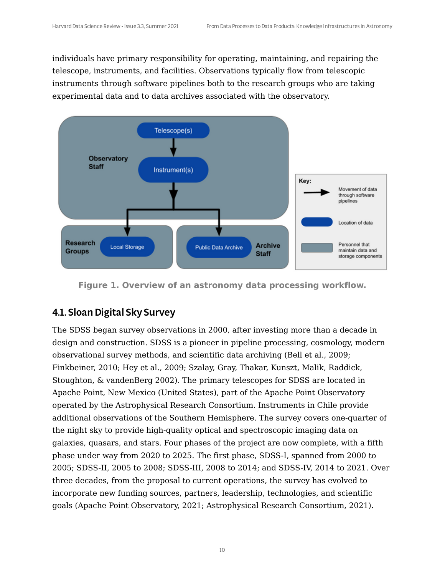individuals have primary responsibility for operating, maintaining, and repairing the telescope, instruments, and facilities. Observations typically flow from telescopic instruments through software pipelines both to the research groups who are taking experimental data and to data archives associated with the observatory.



**Figure 1. Overview of an astronomy data processing workflow.**

## 4.1. Sloan Digital Sky Survey

The SDSS began survey observations in 2000, after investing more than a decade in design and construction. SDSS is a pioneer in pipeline processing, cosmology, modern observational survey methods, and scientific data archiving (Bell et al., 2009; Finkbeiner, 2010; Hey et al., 2009; Szalay, Gray, Thakar, Kunszt, Malik, Raddick, Stoughton, & vandenBerg 2002). The primary telescopes for SDSS are located in Apache Point, New Mexico (United States), part of the Apache Point Observatory operated by the Astrophysical Research Consortium. Instruments in Chile provide additional observations of the Southern Hemisphere. The survey covers one-quarter of the night sky to provide high-quality optical and spectroscopic imaging data on galaxies, quasars, and stars. Four phases of the project are now complete, with a fifth phase under way from 2020 to 2025. The first phase, SDSS-I, spanned from 2000 to 2005; SDSS-II, 2005 to 2008; SDSS-III, 2008 to 2014; and SDSS-IV, 2014 to 2021. Over three decades, from the proposal to current operations, the survey has evolved to incorporate new funding sources, partners, leadership, technologies, and scientific goals (Apache Point Observatory, 2021; Astrophysical Research Consortium, 2021).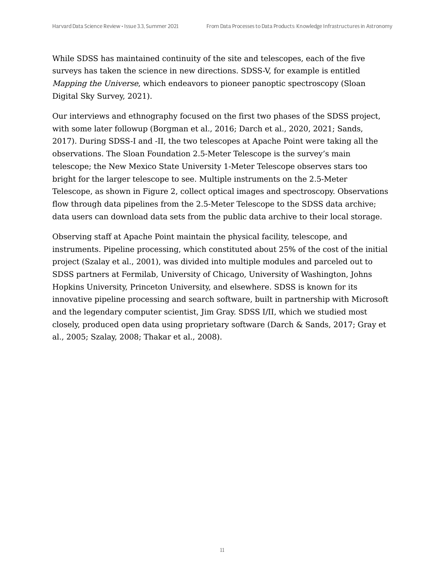While SDSS has maintained continuity of the site and telescopes, each of the five surveys has taken the science in new directions. SDSS-V, for example is entitled Mapping the Universe, which endeavors to pioneer panoptic spectroscopy (Sloan Digital Sky Survey, 2021).

Our interviews and ethnography focused on the first two phases of the SDSS project, with some later followup (Borgman et al., 2016; Darch et al., 2020, 2021; Sands, 2017). During SDSS-I and -II, the two telescopes at Apache Point were taking all the observations. The Sloan Foundation 2.5-Meter Telescope is the survey's main telescope; the New Mexico State University 1-Meter Telescope observes stars too bright for the larger telescope to see. Multiple instruments on the 2.5-Meter Telescope, as shown in Figure 2, collect optical images and spectroscopy. Observations flow through data pipelines from the 2.5-Meter Telescope to the SDSS data archive; data users can download data sets from the public data archive to their local storage.

Observing staff at Apache Point maintain the physical facility, telescope, and instruments. Pipeline processing, which constituted about 25% of the cost of the initial project (Szalay et al., 2001), was divided into multiple modules and parceled out to SDSS partners at Fermilab, University of Chicago, University of Washington, Johns Hopkins University, Princeton University, and elsewhere. SDSS is known for its innovative pipeline processing and search software, built in partnership with Microsoft and the legendary computer scientist, Jim Gray. SDSS I/II, which we studied most closely, produced open data using proprietary software (Darch & Sands, 2017; Gray et al., 2005; Szalay, 2008; Thakar et al., 2008).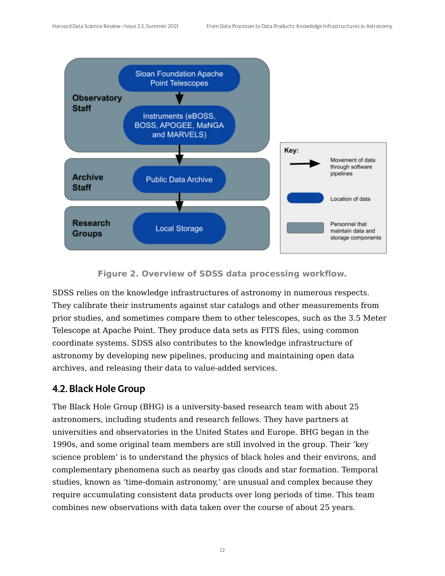

**Figure 2. Overview of SDSS data processing workflow.**

SDSS relies on the knowledge infrastructures of astronomy in numerous respects. They calibrate their instruments against star catalogs and other measurements from prior studies, and sometimes compare them to other telescopes, such as the 3.5 Meter Telescope at Apache Point. They produce data sets as FITS files, using common coordinate systems. SDSS also contributes to the knowledge infrastructure of astronomy by developing new pipelines, producing and maintaining open data archives, and releasing their data to value-added services.

#### 4.2. Black Hole Group

The Black Hole Group (BHG) is a university-based research team with about 25 astronomers, including students and research fellows. They have partners at universities and observatories in the United States and Europe. BHG began in the 1990s, and some original team members are still involved in the group. Their 'key science problem' is to understand the physics of black holes and their environs, and complementary phenomena such as nearby gas clouds and star formation. Temporal studies, known as 'time-domain astronomy,' are unusual and complex because they require accumulating consistent data products over long periods of time. This team combines new observations with data taken over the course of about 25 years.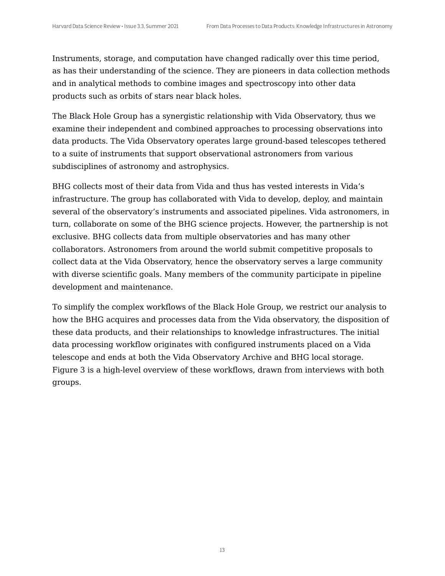Instruments, storage, and computation have changed radically over this time period, as has their understanding of the science. They are pioneers in data collection methods and in analytical methods to combine images and spectroscopy into other data products such as orbits of stars near black holes.

The Black Hole Group has a synergistic relationship with Vida Observatory, thus we examine their independent and combined approaches to processing observations into data products. The Vida Observatory operates large ground-based telescopes tethered to a suite of instruments that support observational astronomers from various subdisciplines of astronomy and astrophysics.

BHG collects most of their data from Vida and thus has vested interests in Vida's infrastructure. The group has collaborated with Vida to develop, deploy, and maintain several of the observatory's instruments and associated pipelines. Vida astronomers, in turn, collaborate on some of the BHG science projects. However, the partnership is not exclusive. BHG collects data from multiple observatories and has many other collaborators. Astronomers from around the world submit competitive proposals to collect data at the Vida Observatory, hence the observatory serves a large community with diverse scientific goals. Many members of the community participate in pipeline development and maintenance.

To simplify the complex workflows of the Black Hole Group, we restrict our analysis to how the BHG acquires and processes data from the Vida observatory, the disposition of these data products, and their relationships to knowledge infrastructures. The initial data processing workflow originates with configured instruments placed on a Vida telescope and ends at both the Vida Observatory Archive and BHG local storage. Figure 3 is a high-level overview of these workflows, drawn from interviews with both groups.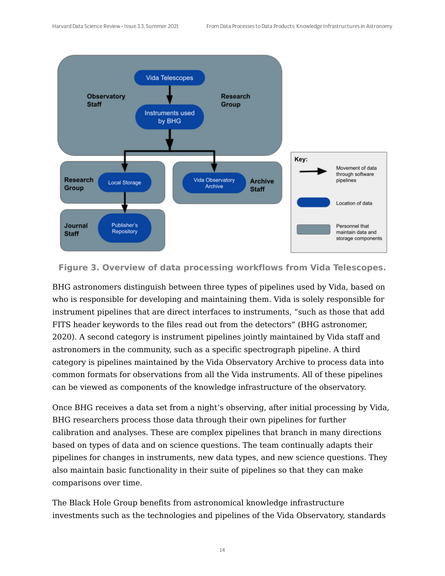

**Figure 3. Overview of data processing workflows from Vida Telescopes.**

BHG astronomers distinguish between three types of pipelines used by Vida, based on who is responsible for developing and maintaining them. Vida is solely responsible for instrument pipelines that are direct interfaces to instruments, "such as those that add FITS header keywords to the files read out from the detectors" (BHG astronomer, 2020). A second category is instrument pipelines jointly maintained by Vida staff and astronomers in the community, such as a specific spectrograph pipeline. A third category is pipelines maintained by the Vida Observatory Archive to process data into common formats for observations from all the Vida instruments. All of these pipelines can be viewed as components of the knowledge infrastructure of the observatory.

Once BHG receives a data set from a night's observing, after initial processing by Vida, BHG researchers process those data through their own pipelines for further calibration and analyses. These are complex pipelines that branch in many directions based on types of data and on science questions. The team continually adapts their pipelines for changes in instruments, new data types, and new science questions. They also maintain basic functionality in their suite of pipelines so that they can make comparisons over time.

The Black Hole Group benefits from astronomical knowledge infrastructure investments such as the technologies and pipelines of the Vida Observatory, standards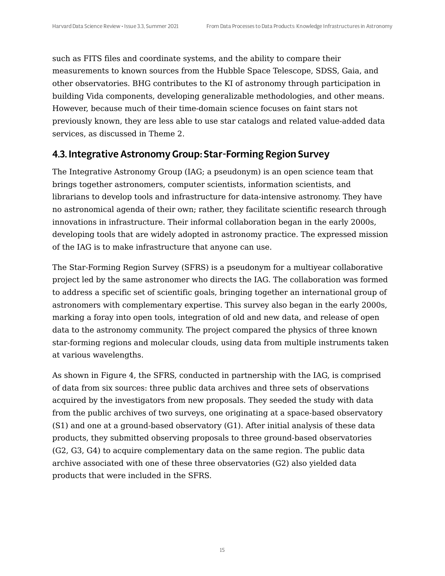such as FITS files and coordinate systems, and the ability to compare their measurements to known sources from the Hubble Space Telescope, SDSS, Gaia, and other observatories. BHG contributes to the KI of astronomy through participation in building Vida components, developing generalizable methodologies, and other means. However, because much of their time-domain science focuses on faint stars not previously known, they are less able to use star catalogs and related value-added data services, as discussed in Theme 2.

#### 4.3. Integrative Astronomy Group: Star-Forming Region Survey

The Integrative Astronomy Group (IAG; a pseudonym) is an open science team that brings together astronomers, computer scientists, information scientists, and librarians to develop tools and infrastructure for data-intensive astronomy. They have no astronomical agenda of their own; rather, they facilitate scientific research through innovations in infrastructure. Their informal collaboration began in the early 2000s, developing tools that are widely adopted in astronomy practice. The expressed mission of the IAG is to make infrastructure that anyone can use.

The Star-Forming Region Survey (SFRS) is a pseudonym for a multiyear collaborative project led by the same astronomer who directs the IAG. The collaboration was formed to address a specific set of scientific goals, bringing together an international group of astronomers with complementary expertise. This survey also began in the early 2000s, marking a foray into open tools, integration of old and new data, and release of open data to the astronomy community. The project compared the physics of three known star-forming regions and molecular clouds, using data from multiple instruments taken at various wavelengths.

As shown in Figure 4, the SFRS, conducted in partnership with the IAG, is comprised of data from six sources: three public data archives and three sets of observations acquired by the investigators from new proposals. They seeded the study with data from the public archives of two surveys, one originating at a space-based observatory (S1) and one at a ground-based observatory (G1). After initial analysis of these data products, they submitted observing proposals to three ground-based observatories (G2, G3, G4) to acquire complementary data on the same region. The public data archive associated with one of these three observatories (G2) also yielded data products that were included in the SFRS.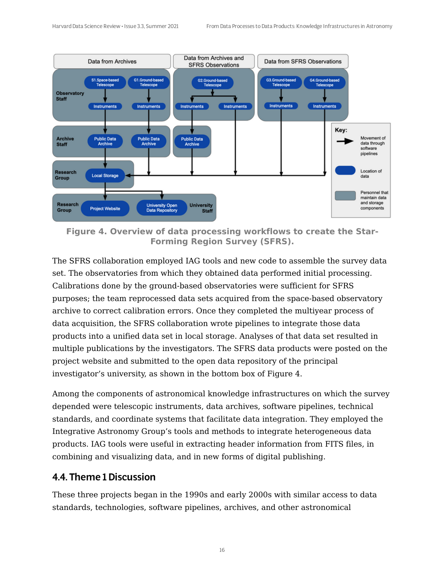

**Figure 4. Overview of data processing workflows to create the Star-Forming Region Survey (SFRS).**

The SFRS collaboration employed IAG tools and new code to assemble the survey data set. The observatories from which they obtained data performed initial processing. Calibrations done by the ground-based observatories were sufficient for SFRS purposes; the team reprocessed data sets acquired from the space-based observatory archive to correct calibration errors. Once they completed the multiyear process of data acquisition, the SFRS collaboration wrote pipelines to integrate those data products into a unified data set in local storage. Analyses of that data set resulted in multiple publications by the investigators. The SFRS data products were posted on the project website and submitted to the open data repository of the principal investigator's university, as shown in the bottom box of Figure 4.

Among the components of astronomical knowledge infrastructures on which the survey depended were telescopic instruments, data archives, software pipelines, technical standards, and coordinate systems that facilitate data integration. They employed the Integrative Astronomy Group's tools and methods to integrate heterogeneous data products. IAG tools were useful in extracting header information from FITS files, in combining and visualizing data, and in new forms of digital publishing.

#### 4.4. Theme 1 Discussion

These three projects began in the 1990s and early 2000s with similar access to data standards, technologies, software pipelines, archives, and other astronomical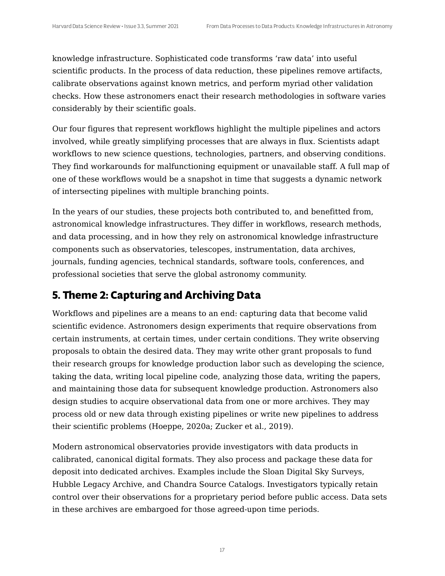knowledge infrastructure. Sophisticated code transforms 'raw data' into useful scientific products. In the process of data reduction, these pipelines remove artifacts, calibrate observations against known metrics, and perform myriad other validation checks. How these astronomers enact their research methodologies in software varies considerably by their scientific goals.

Our four figures that represent workflows highlight the multiple pipelines and actors involved, while greatly simplifying processes that are always in flux. Scientists adapt workflows to new science questions, technologies, partners, and observing conditions. They find workarounds for malfunctioning equipment or unavailable staff. A full map of one of these workflows would be a snapshot in time that suggests a dynamic network of intersecting pipelines with multiple branching points.

In the years of our studies, these projects both contributed to, and benefitted from, astronomical knowledge infrastructures. They differ in workflows, research methods, and data processing, and in how they rely on astronomical knowledge infrastructure components such as observatories, telescopes, instrumentation, data archives, journals, funding agencies, technical standards, software tools, conferences, and professional societies that serve the global astronomy community.

## **5. Theme 2: Capturing and Archiving Data**

Workflows and pipelines are a means to an end: capturing data that become valid scientific evidence. Astronomers design experiments that require observations from certain instruments, at certain times, under certain conditions. They write observing proposals to obtain the desired data. They may write other grant proposals to fund their research groups for knowledge production labor such as developing the science, taking the data, writing local pipeline code, analyzing those data, writing the papers, and maintaining those data for subsequent knowledge production. Astronomers also design studies to acquire observational data from one or more archives. They may process old or new data through existing pipelines or write new pipelines to address their scientific problems (Hoeppe, 2020a; Zucker et al., 2019).

Modern astronomical observatories provide investigators with data products in calibrated, canonical digital formats. They also process and package these data for deposit into dedicated archives. Examples include the Sloan Digital Sky Surveys, Hubble Legacy Archive, and Chandra Source Catalogs. Investigators typically retain control over their observations for a proprietary period before public access. Data sets in these archives are embargoed for those agreed-upon time periods.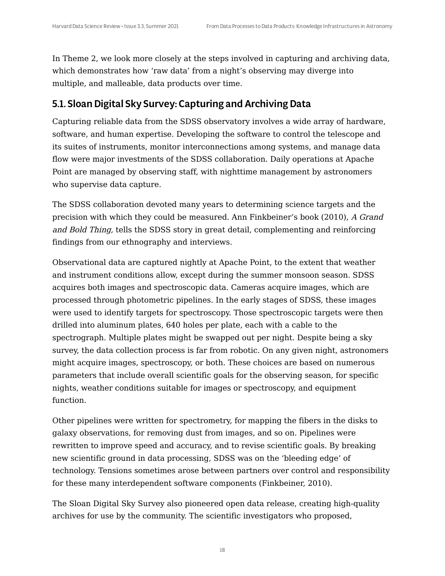In Theme 2, we look more closely at the steps involved in capturing and archiving data, which demonstrates how 'raw data' from a night's observing may diverge into multiple, and malleable, data products over time.

#### 5.1. Sloan Digital Sky Survey: Capturing and Archiving Data

Capturing reliable data from the SDSS observatory involves a wide array of hardware, software, and human expertise. Developing the software to control the telescope and its suites of instruments, monitor interconnections among systems, and manage data flow were major investments of the SDSS collaboration. Daily operations at Apache Point are managed by observing staff, with nighttime management by astronomers who supervise data capture.

The SDSS collaboration devoted many years to determining science targets and the precision with which they could be measured. Ann Finkbeiner's book (2010), A Grand and Bold Thing, tells the SDSS story in great detail, complementing and reinforcing findings from our ethnography and interviews.

Observational data are captured nightly at Apache Point, to the extent that weather and instrument conditions allow, except during the summer monsoon season. SDSS acquires both images and spectroscopic data. Cameras acquire images, which are processed through photometric pipelines. In the early stages of SDSS, these images were used to identify targets for spectroscopy. Those spectroscopic targets were then drilled into aluminum plates, 640 holes per plate, each with a cable to the spectrograph. Multiple plates might be swapped out per night. Despite being a sky survey, the data collection process is far from robotic. On any given night, astronomers might acquire images, spectroscopy, or both. These choices are based on numerous parameters that include overall scientific goals for the observing season, for specific nights, weather conditions suitable for images or spectroscopy, and equipment function.

Other pipelines were written for spectrometry, for mapping the fibers in the disks to galaxy observations, for removing dust from images, and so on. Pipelines were rewritten to improve speed and accuracy, and to revise scientific goals. By breaking new scientific ground in data processing, SDSS was on the 'bleeding edge' of technology. Tensions sometimes arose between partners over control and responsibility for these many interdependent software components (Finkbeiner, 2010).

The Sloan Digital Sky Survey also pioneered open data release, creating high-quality archives for use by the community. The scientific investigators who proposed,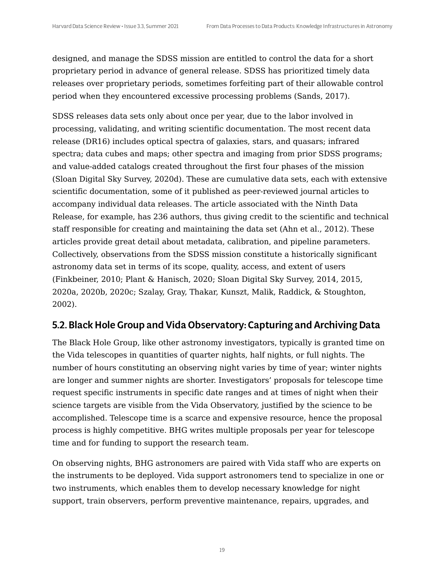designed, and manage the SDSS mission are entitled to control the data for a short proprietary period in advance of general release. SDSS has prioritized timely data releases over proprietary periods, sometimes forfeiting part of their allowable control period when they encountered excessive processing problems (Sands, 2017).

SDSS releases data sets only about once per year, due to the labor involved in processing, validating, and writing scientific documentation. The most recent data release (DR16) includes optical spectra of galaxies, stars, and quasars; infrared spectra; data cubes and maps; other spectra and imaging from prior SDSS programs; and value-added catalogs created throughout the first four phases of the mission (Sloan Digital Sky Survey, 2020d). These are cumulative data sets, each with extensive scientific documentation, some of it published as peer-reviewed journal articles to accompany individual data releases. The article associated with the Ninth Data Release, for example, has 236 authors, thus giving credit to the scientific and technical staff responsible for creating and maintaining the data set (Ahn et al., 2012). These articles provide great detail about metadata, calibration, and pipeline parameters. Collectively, observations from the SDSS mission constitute a historically significant astronomy data set in terms of its scope, quality, access, and extent of users (Finkbeiner, 2010; Plant & Hanisch, 2020; Sloan Digital Sky Survey, 2014, 2015, 2020a, 2020b, 2020c; Szalay, Gray, Thakar, Kunszt, Malik, Raddick, & Stoughton, 2002).

#### 5.2. Black Hole Group and Vida Observatory: Capturing and Archiving Data

The Black Hole Group, like other astronomy investigators, typically is granted time on the Vida telescopes in quantities of quarter nights, half nights, or full nights. The number of hours constituting an observing night varies by time of year; winter nights are longer and summer nights are shorter. Investigators' proposals for telescope time request specific instruments in specific date ranges and at times of night when their science targets are visible from the Vida Observatory, justified by the science to be accomplished. Telescope time is a scarce and expensive resource, hence the proposal process is highly competitive. BHG writes multiple proposals per year for telescope time and for funding to support the research team.

On observing nights, BHG astronomers are paired with Vida staff who are experts on the instruments to be deployed. Vida support astronomers tend to specialize in one or two instruments, which enables them to develop necessary knowledge for night support, train observers, perform preventive maintenance, repairs, upgrades, and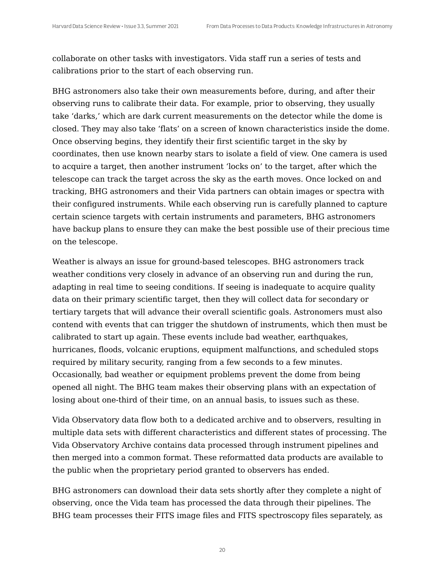collaborate on other tasks with investigators. Vida staff run a series of tests and calibrations prior to the start of each observing run.

BHG astronomers also take their own measurements before, during, and after their observing runs to calibrate their data. For example, prior to observing, they usually take 'darks,' which are dark current measurements on the detector while the dome is closed. They may also take 'flats' on a screen of known characteristics inside the dome. Once observing begins, they identify their first scientific target in the sky by coordinates, then use known nearby stars to isolate a field of view. One camera is used to acquire a target, then another instrument 'locks on' to the target, after which the telescope can track the target across the sky as the earth moves. Once locked on and tracking, BHG astronomers and their Vida partners can obtain images or spectra with their configured instruments. While each observing run is carefully planned to capture certain science targets with certain instruments and parameters, BHG astronomers have backup plans to ensure they can make the best possible use of their precious time on the telescope.

Weather is always an issue for ground-based telescopes. BHG astronomers track weather conditions very closely in advance of an observing run and during the run, adapting in real time to seeing conditions. If seeing is inadequate to acquire quality data on their primary scientific target, then they will collect data for secondary or tertiary targets that will advance their overall scientific goals. Astronomers must also contend with events that can trigger the shutdown of instruments, which then must be calibrated to start up again. These events include bad weather, earthquakes, hurricanes, floods, volcanic eruptions, equipment malfunctions, and scheduled stops required by military security, ranging from a few seconds to a few minutes. Occasionally, bad weather or equipment problems prevent the dome from being opened all night. The BHG team makes their observing plans with an expectation of losing about one-third of their time, on an annual basis, to issues such as these.

Vida Observatory data flow both to a dedicated archive and to observers, resulting in multiple data sets with different characteristics and different states of processing. The Vida Observatory Archive contains data processed through instrument pipelines and then merged into a common format. These reformatted data products are available to the public when the proprietary period granted to observers has ended.

BHG astronomers can download their data sets shortly after they complete a night of observing, once the Vida team has processed the data through their pipelines. The BHG team processes their FITS image files and FITS spectroscopy files separately, as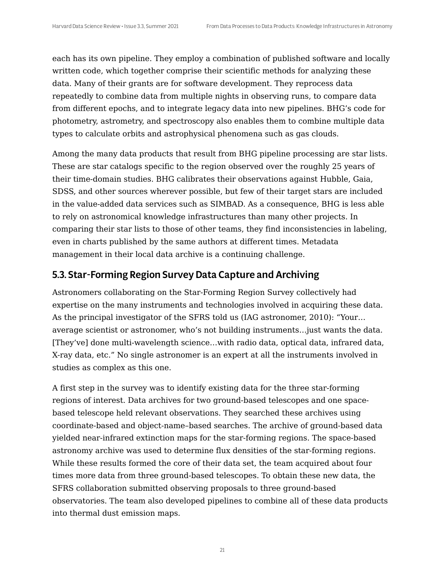each has its own pipeline. They employ a combination of published software and locally written code, which together comprise their scientific methods for analyzing these data. Many of their grants are for software development. They reprocess data repeatedly to combine data from multiple nights in observing runs, to compare data from different epochs, and to integrate legacy data into new pipelines. BHG's code for photometry, astrometry, and spectroscopy also enables them to combine multiple data types to calculate orbits and astrophysical phenomena such as gas clouds.

Among the many data products that result from BHG pipeline processing are star lists. These are star catalogs specific to the region observed over the roughly 25 years of their time-domain studies. BHG calibrates their observations against Hubble, Gaia, SDSS, and other sources wherever possible, but few of their target stars are included in the value-added data services such as SIMBAD. As a consequence, BHG is less able to rely on astronomical knowledge infrastructures than many other projects. In comparing their star lists to those of other teams, they find inconsistencies in labeling, even in charts published by the same authors at different times. Metadata management in their local data archive is a continuing challenge.

#### 5.3. Star-Forming Region Survey Data Capture and Archiving

Astronomers collaborating on the Star-Forming Region Survey collectively had expertise on the many instruments and technologies involved in acquiring these data. As the principal investigator of the SFRS told us (IAG astronomer, 2010): "Your… average scientist or astronomer, who's not building instruments…just wants the data. [They've] done multi-wavelength science…with radio data, optical data, infrared data, X-ray data, etc." No single astronomer is an expert at all the instruments involved in studies as complex as this one.

A first step in the survey was to identify existing data for the three star-forming regions of interest. Data archives for two ground-based telescopes and one spacebased telescope held relevant observations. They searched these archives using coordinate-based and object-name–based searches. The archive of ground-based data yielded near-infrared extinction maps for the star-forming regions. The space-based astronomy archive was used to determine flux densities of the star-forming regions. While these results formed the core of their data set, the team acquired about four times more data from three ground-based telescopes. To obtain these new data, the SFRS collaboration submitted observing proposals to three ground-based observatories. The team also developed pipelines to combine all of these data products into thermal dust emission maps.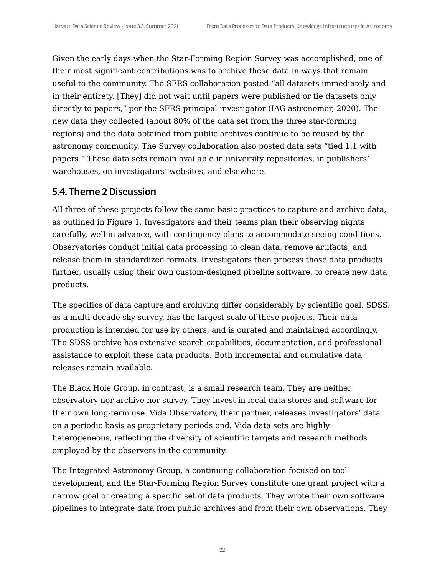Given the early days when the Star-Forming Region Survey was accomplished, one of their most significant contributions was to archive these data in ways that remain useful to the community. The SFRS collaboration posted "all datasets immediately and in their entirety. [They] did not wait until papers were published or tie datasets only directly to papers," per the SFRS principal investigator (IAG astronomer, 2020). The new data they collected (about 80% of the data set from the three star-forming regions) and the data obtained from public archives continue to be reused by the astronomy community. The Survey collaboration also posted data sets "tied 1:1 with papers." These data sets remain available in university repositories, in publishers' warehouses, on investigators' websites, and elsewhere.

#### 5.4. Theme 2 Discussion

All three of these projects follow the same basic practices to capture and archive data, as outlined in Figure 1. Investigators and their teams plan their observing nights carefully, well in advance, with contingency plans to accommodate seeing conditions. Observatories conduct initial data processing to clean data, remove artifacts, and release them in standardized formats. Investigators then process those data products further, usually using their own custom-designed pipeline software, to create new data products.

The specifics of data capture and archiving differ considerably by scientific goal. SDSS, as a multi-decade sky survey, has the largest scale of these projects. Their data production is intended for use by others, and is curated and maintained accordingly. The SDSS archive has extensive search capabilities, documentation, and professional assistance to exploit these data products. Both incremental and cumulative data releases remain available.

The Black Hole Group, in contrast, is a small research team. They are neither observatory nor archive nor survey. They invest in local data stores and software for their own long-term use. Vida Observatory, their partner, releases investigators' data on a periodic basis as proprietary periods end. Vida data sets are highly heterogeneous, reflecting the diversity of scientific targets and research methods employed by the observers in the community.

The Integrated Astronomy Group, a continuing collaboration focused on tool development, and the Star-Forming Region Survey constitute one grant project with a narrow goal of creating a specific set of data products. They wrote their own software pipelines to integrate data from public archives and from their own observations. They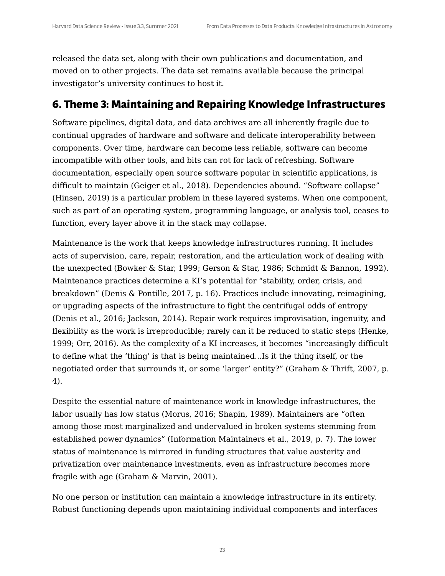released the data set, along with their own publications and documentation, and moved on to other projects. The data set remains available because the principal investigator's university continues to host it.

#### **6. Theme 3: Maintaining and Repairing Knowledge Infrastructures**

Software pipelines, digital data, and data archives are all inherently fragile due to continual upgrades of hardware and software and delicate interoperability between components. Over time, hardware can become less reliable, software can become incompatible with other tools, and bits can rot for lack of refreshing. Software documentation, especially open source software popular in scientific applications, is difficult to maintain (Geiger et al., 2018). Dependencies abound. "Software collapse" (Hinsen, 2019) is a particular problem in these layered systems. When one component, such as part of an operating system, programming language, or analysis tool, ceases to function, every layer above it in the stack may collapse.

Maintenance is the work that keeps knowledge infrastructures running. It includes acts of supervision, care, repair, restoration, and the articulation work of dealing with the unexpected (Bowker & Star, 1999; Gerson & Star, 1986; Schmidt & Bannon, 1992). Maintenance practices determine a KI's potential for "stability, order, crisis, and breakdown" (Denis & Pontille, 2017, p. 16). Practices include innovating, reimagining, or upgrading aspects of the infrastructure to fight the centrifugal odds of entropy (Denis et al., 2016; Jackson, 2014). Repair work requires improvisation, ingenuity, and flexibility as the work is irreproducible; rarely can it be reduced to static steps (Henke, 1999; Orr, 2016). As the complexity of a KI increases, it becomes "increasingly difficult to define what the 'thing' is that is being maintained...Is it the thing itself, or the negotiated order that surrounds it, or some 'larger' entity?" (Graham & Thrift, 2007, p. 4).

Despite the essential nature of maintenance work in knowledge infrastructures, the labor usually has low status (Morus, 2016; Shapin, 1989). Maintainers are "often among those most marginalized and undervalued in broken systems stemming from established power dynamics" (Information Maintainers et al., 2019, p. 7). The lower status of maintenance is mirrored in funding structures that value austerity and privatization over maintenance investments, even as infrastructure becomes more fragile with age (Graham & Marvin, 2001).

No one person or institution can maintain a knowledge infrastructure in its entirety. Robust functioning depends upon maintaining individual components and interfaces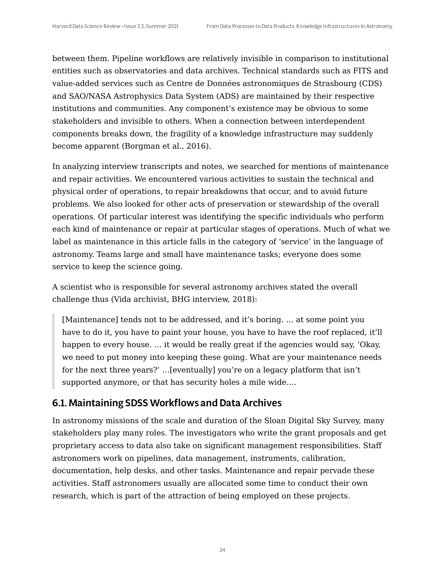between them. Pipeline workflows are relatively invisible in comparison to institutional entities such as observatories and data archives. Technical standards such as FITS and value-added services such as Centre de Données astronomiques de Strasbourg (CDS) and SAO/NASA Astrophysics Data System (ADS) are maintained by their respective institutions and communities. Any component's existence may be obvious to some stakeholders and invisible to others. When a connection between interdependent components breaks down, the fragility of a knowledge infrastructure may suddenly become apparent (Borgman et al., 2016).

In analyzing interview transcripts and notes, we searched for mentions of maintenance and repair activities. We encountered various activities to sustain the technical and physical order of operations, to repair breakdowns that occur, and to avoid future problems. We also looked for other acts of preservation or stewardship of the overall operations. Of particular interest was identifying the specific individuals who perform each kind of maintenance or repair at particular stages of operations. Much of what we label as maintenance in this article falls in the category of 'service' in the language of astronomy. Teams large and small have maintenance tasks; everyone does some service to keep the science going.

A scientist who is responsible for several astronomy archives stated the overall challenge thus (Vida archivist, BHG interview, 2018):

[Maintenance] tends not to be addressed, and it's boring. … at some point you have to do it, you have to paint your house, you have to have the roof replaced, it'll happen to every house. ... it would be really great if the agencies would say, 'Okay, we need to put money into keeping these going. What are your maintenance needs for the next three years?' …[eventually] you're on a legacy platform that isn't supported anymore, or that has security holes a mile wide….

#### 6.1. Maintaining SDSS Workflows and Data Archives

In astronomy missions of the scale and duration of the Sloan Digital Sky Survey, many stakeholders play many roles. The investigators who write the grant proposals and get proprietary access to data also take on significant management responsibilities. Staff astronomers work on pipelines, data management, instruments, calibration, documentation, help desks, and other tasks. Maintenance and repair pervade these activities. Staff astronomers usually are allocated some time to conduct their own research, which is part of the attraction of being employed on these projects.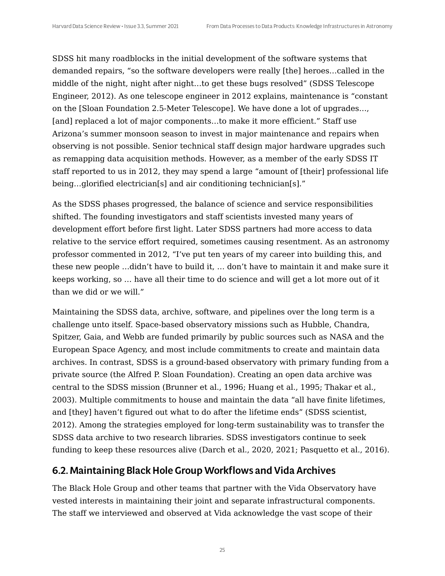SDSS hit many roadblocks in the initial development of the software systems that demanded repairs, "so the software developers were really [the] heroes…called in the middle of the night, night after night…to get these bugs resolved" (SDSS Telescope Engineer, 2012). As one telescope engineer in 2012 explains, maintenance is "constant on the [Sloan Foundation 2.5-Meter Telescope]. We have done a lot of upgrades…, [and] replaced a lot of major components...to make it more efficient." Staff use Arizona's summer monsoon season to invest in major maintenance and repairs when observing is not possible. Senior technical staff design major hardware upgrades such as remapping data acquisition methods. However, as a member of the early SDSS IT staff reported to us in 2012, they may spend a large "amount of [their] professional life being…glorified electrician[s] and air conditioning technician[s]."

As the SDSS phases progressed, the balance of science and service responsibilities shifted. The founding investigators and staff scientists invested many years of development effort before first light. Later SDSS partners had more access to data relative to the service effort required, sometimes causing resentment. As an astronomy professor commented in 2012, "I've put ten years of my career into building this, and these new people …didn't have to build it, … don't have to maintain it and make sure it keeps working, so … have all their time to do science and will get a lot more out of it than we did or we will."

Maintaining the SDSS data, archive, software, and pipelines over the long term is a challenge unto itself. Space-based observatory missions such as Hubble, Chandra, Spitzer, Gaia, and Webb are funded primarily by public sources such as NASA and the European Space Agency, and most include commitments to create and maintain data archives. In contrast, SDSS is a ground-based observatory with primary funding from a private source (the Alfred P. Sloan Foundation). Creating an open data archive was central to the SDSS mission (Brunner et al., 1996; Huang et al., 1995; Thakar et al., 2003). Multiple commitments to house and maintain the data "all have finite lifetimes, and [they] haven't figured out what to do after the lifetime ends" (SDSS scientist, 2012). Among the strategies employed for long-term sustainability was to transfer the SDSS data archive to two research libraries. SDSS investigators continue to seek funding to keep these resources alive (Darch et al., 2020, 2021; Pasquetto et al., 2016).

#### 6.2. Maintaining Black Hole Group Workflows and Vida Archives

The Black Hole Group and other teams that partner with the Vida Observatory have vested interests in maintaining their joint and separate infrastructural components. The staff we interviewed and observed at Vida acknowledge the vast scope of their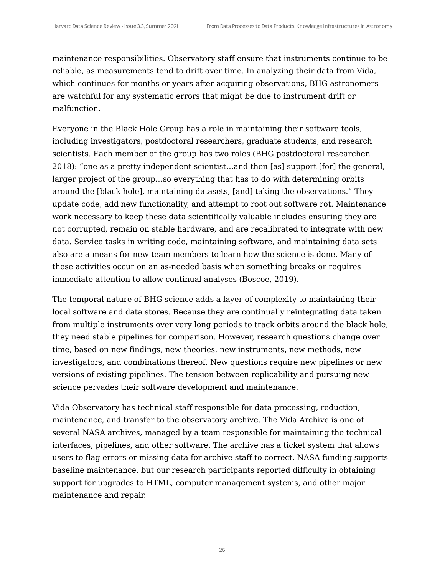maintenance responsibilities. Observatory staff ensure that instruments continue to be reliable, as measurements tend to drift over time. In analyzing their data from Vida, which continues for months or years after acquiring observations, BHG astronomers are watchful for any systematic errors that might be due to instrument drift or malfunction.

Everyone in the Black Hole Group has a role in maintaining their software tools, including investigators, postdoctoral researchers, graduate students, and research scientists. Each member of the group has two roles (BHG postdoctoral researcher, 2018): "one as a pretty independent scientist…and then [as] support [for] the general, larger project of the group…so everything that has to do with determining orbits around the [black hole], maintaining datasets, [and] taking the observations." They update code, add new functionality, and attempt to root out software rot. Maintenance work necessary to keep these data scientifically valuable includes ensuring they are not corrupted, remain on stable hardware, and are recalibrated to integrate with new data. Service tasks in writing code, maintaining software, and maintaining data sets also are a means for new team members to learn how the science is done. Many of these activities occur on an as-needed basis when something breaks or requires immediate attention to allow continual analyses (Boscoe, 2019).

The temporal nature of BHG science adds a layer of complexity to maintaining their local software and data stores. Because they are continually reintegrating data taken from multiple instruments over very long periods to track orbits around the black hole, they need stable pipelines for comparison. However, research questions change over time, based on new findings, new theories, new instruments, new methods, new investigators, and combinations thereof. New questions require new pipelines or new versions of existing pipelines. The tension between replicability and pursuing new science pervades their software development and maintenance.

Vida Observatory has technical staff responsible for data processing, reduction, maintenance, and transfer to the observatory archive. The Vida Archive is one of several NASA archives, managed by a team responsible for maintaining the technical interfaces, pipelines, and other software. The archive has a ticket system that allows users to flag errors or missing data for archive staff to correct. NASA funding supports baseline maintenance, but our research participants reported difficulty in obtaining support for upgrades to HTML, computer management systems, and other major maintenance and repair.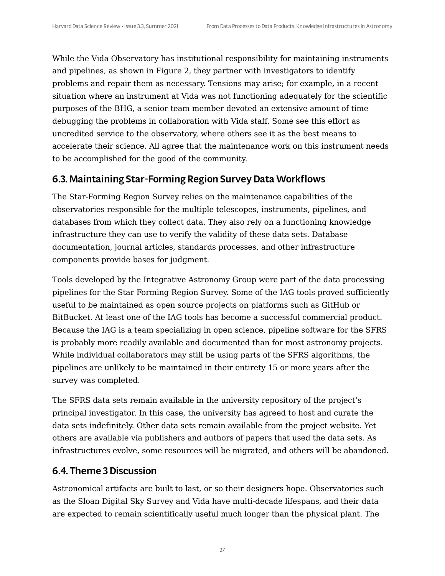While the Vida Observatory has institutional responsibility for maintaining instruments and pipelines, as shown in Figure 2, they partner with investigators to identify problems and repair them as necessary. Tensions may arise; for example, in a recent situation where an instrument at Vida was not functioning adequately for the scientific purposes of the BHG, a senior team member devoted an extensive amount of time debugging the problems in collaboration with Vida staff. Some see this effort as uncredited service to the observatory, where others see it as the best means to accelerate their science. All agree that the maintenance work on this instrument needs to be accomplished for the good of the community.

#### 6.3. Maintaining Star-Forming Region SurveyData Workflows

The Star-Forming Region Survey relies on the maintenance capabilities of the observatories responsible for the multiple telescopes, instruments, pipelines, and databases from which they collect data. They also rely on a functioning knowledge infrastructure they can use to verify the validity of these data sets. Database documentation, journal articles, standards processes, and other infrastructure components provide bases for judgment.

Tools developed by the Integrative Astronomy Group were part of the data processing pipelines for the Star Forming Region Survey. Some of the IAG tools proved sufficiently useful to be maintained as open source projects on platforms such as GitHub or BitBucket. At least one of the IAG tools has become a successful commercial product. Because the IAG is a team specializing in open science, pipeline software for the SFRS is probably more readily available and documented than for most astronomy projects. While individual collaborators may still be using parts of the SFRS algorithms, the pipelines are unlikely to be maintained in their entirety 15 or more years after the survey was completed.

The SFRS data sets remain available in the university repository of the project's principal investigator. In this case, the university has agreed to host and curate the data sets indefinitely. Other data sets remain available from the project website. Yet others are available via publishers and authors of papers that used the data sets. As infrastructures evolve, some resources will be migrated, and others will be abandoned.

#### 6.4. Theme 3Discussion

Astronomical artifacts are built to last, or so their designers hope. Observatories such as the Sloan Digital Sky Survey and Vida have multi-decade lifespans, and their data are expected to remain scientifically useful much longer than the physical plant. The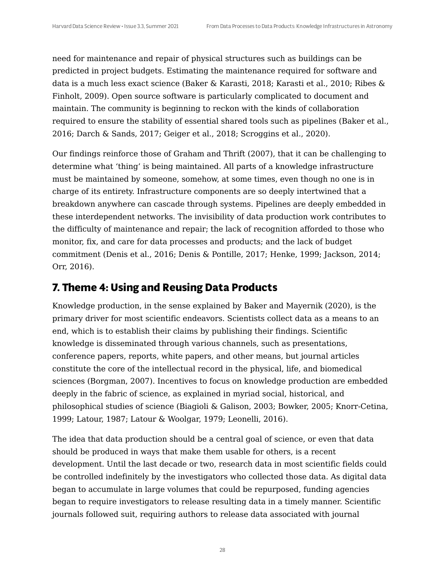need for maintenance and repair of physical structures such as buildings can be predicted in project budgets. Estimating the maintenance required for software and data is a much less exact science (Baker & Karasti, 2018; Karasti et al., 2010; Ribes & Finholt, 2009). Open source software is particularly complicated to document and maintain. The community is beginning to reckon with the kinds of collaboration required to ensure the stability of essential shared tools such as pipelines (Baker et al., 2016; Darch & Sands, 2017; Geiger et al., 2018; Scroggins et al., 2020).

Our findings reinforce those of Graham and Thrift (2007), that it can be challenging to determine what 'thing' is being maintained. All parts of a knowledge infrastructure must be maintained by someone, somehow, at some times, even though no one is in charge of its entirety. Infrastructure components are so deeply intertwined that a breakdown anywhere can cascade through systems. Pipelines are deeply embedded in these interdependent networks. The invisibility of data production work contributes to the difficulty of maintenance and repair; the lack of recognition afforded to those who monitor, fix, and care for data processes and products; and the lack of budget commitment (Denis et al., 2016; Denis & Pontille, 2017; Henke, 1999; Jackson, 2014; Orr, 2016).

## **7. Theme 4: Using and Reusing Data Products**

Knowledge production, in the sense explained by Baker and Mayernik (2020), is the primary driver for most scientific endeavors. Scientists collect data as a means to an end, which is to establish their claims by publishing their findings. Scientific knowledge is disseminated through various channels, such as presentations, conference papers, reports, white papers, and other means, but journal articles constitute the core of the intellectual record in the physical, life, and biomedical sciences (Borgman, 2007). Incentives to focus on knowledge production are embedded deeply in the fabric of science, as explained in myriad social, historical, and philosophical studies of science (Biagioli & Galison, 2003; Bowker, 2005; Knorr-Cetina, 1999; Latour, 1987; Latour & Woolgar, 1979; Leonelli, 2016).

The idea that data production should be a central goal of science, or even that data should be produced in ways that make them usable for others, is a recent development. Until the last decade or two, research data in most scientific fields could be controlled indefinitely by the investigators who collected those data. As digital data began to accumulate in large volumes that could be repurposed, funding agencies began to require investigators to release resulting data in a timely manner. Scientific journals followed suit, requiring authors to release data associated with journal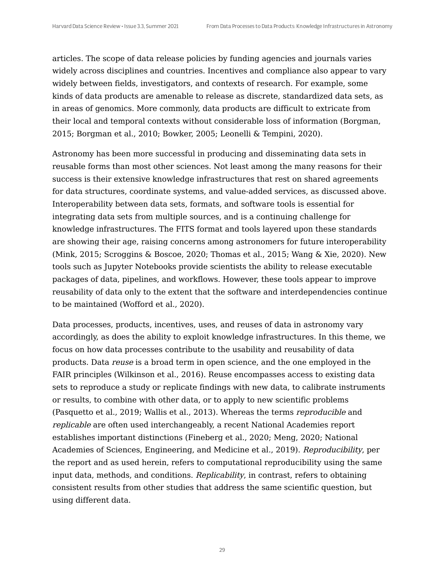articles. The scope of data release policies by funding agencies and journals varies widely across disciplines and countries. Incentives and compliance also appear to vary widely between fields, investigators, and contexts of research. For example, some kinds of data products are amenable to release as discrete, standardized data sets, as in areas of genomics. More commonly, data products are difficult to extricate from their local and temporal contexts without considerable loss of information (Borgman, 2015; Borgman et al., 2010; Bowker, 2005; Leonelli & Tempini, 2020).

Astronomy has been more successful in producing and disseminating data sets in reusable forms than most other sciences. Not least among the many reasons for their success is their extensive knowledge infrastructures that rest on shared agreements for data structures, coordinate systems, and value-added services, as discussed above. Interoperability between data sets, formats, and software tools is essential for integrating data sets from multiple sources, and is a continuing challenge for knowledge infrastructures. The FITS format and tools layered upon these standards are showing their age, raising concerns among astronomers for future interoperability (Mink, 2015; Scroggins & Boscoe, 2020; Thomas et al., 2015; Wang & Xie, 2020). New tools such as Jupyter Notebooks provide scientists the ability to release executable packages of data, pipelines, and workflows. However, these tools appear to improve reusability of data only to the extent that the software and interdependencies continue to be maintained (Wofford et al., 2020).

Data processes, products, incentives, uses, and reuses of data in astronomy vary accordingly, as does the ability to exploit knowledge infrastructures. In this theme, we focus on how data processes contribute to the usability and reusability of data products. Data reuse is a broad term in open science, and the one employed in the FAIR principles (Wilkinson et al., 2016). Reuse encompasses access to existing data sets to reproduce a study or replicate findings with new data, to calibrate instruments or results, to combine with other data, or to apply to new scientific problems (Pasquetto et al., 2019; Wallis et al., 2013). Whereas the terms reproducible and replicable are often used interchangeably, a recent National Academies report establishes important distinctions (Fineberg et al., 2020; Meng, 2020; National Academies of Sciences, Engineering, and Medicine et al., 2019). Reproducibility, per the report and as used herein, refers to computational reproducibility using the same input data, methods, and conditions. Replicability, in contrast, refers to obtaining consistent results from other studies that address the same scientific question, but using different data.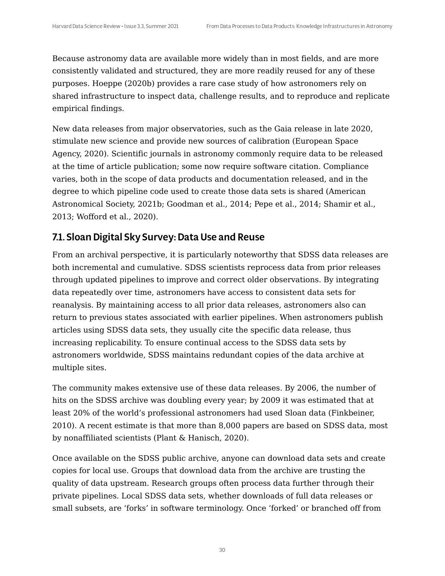Because astronomy data are available more widely than in most fields, and are more consistently validated and structured, they are more readily reused for any of these purposes. Hoeppe (2020b) provides a rare case study of how astronomers rely on shared infrastructure to inspect data, challenge results, and to reproduce and replicate empirical findings.

New data releases from major observatories, such as the Gaia release in late 2020, stimulate new science and provide new sources of calibration (European Space Agency, 2020). Scientific journals in astronomy commonly require data to be released at the time of article publication; some now require software citation. Compliance varies, both in the scope of data products and documentation released, and in the degree to which pipeline code used to create those data sets is shared (American Astronomical Society, 2021b; Goodman et al., 2014; Pepe et al., 2014; Shamir et al., 2013; Wofford et al., 2020).

## 7.1. Sloan Digital Sky Survey:Data Use and Reuse

From an archival perspective, it is particularly noteworthy that SDSS data releases are both incremental and cumulative. SDSS scientists reprocess data from prior releases through updated pipelines to improve and correct older observations. By integrating data repeatedly over time, astronomers have access to consistent data sets for reanalysis. By maintaining access to all prior data releases, astronomers also can return to previous states associated with earlier pipelines. When astronomers publish articles using SDSS data sets, they usually cite the specific data release, thus increasing replicability. To ensure continual access to the SDSS data sets by astronomers worldwide, SDSS maintains redundant copies of the data archive at multiple sites.

The community makes extensive use of these data releases. By 2006, the number of hits on the SDSS archive was doubling every year; by 2009 it was estimated that at least 20% of the world's professional astronomers had used Sloan data (Finkbeiner, 2010). A recent estimate is that more than 8,000 papers are based on SDSS data, most by nonaffiliated scientists (Plant & Hanisch, 2020).

Once available on the SDSS public archive, anyone can download data sets and create copies for local use. Groups that download data from the archive are trusting the quality of data upstream. Research groups often process data further through their private pipelines. Local SDSS data sets, whether downloads of full data releases or small subsets, are 'forks' in software terminology. Once 'forked' or branched off from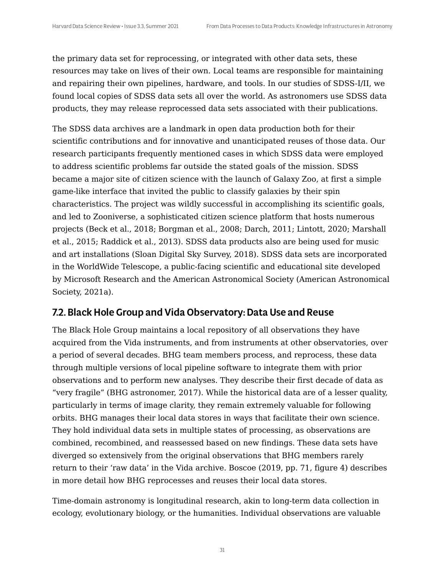the primary data set for reprocessing, or integrated with other data sets, these resources may take on lives of their own. Local teams are responsible for maintaining and repairing their own pipelines, hardware, and tools. In our studies of SDSS-I/II, we found local copies of SDSS data sets all over the world. As astronomers use SDSS data products, they may release reprocessed data sets associated with their publications.

The SDSS data archives are a landmark in open data production both for their scientific contributions and for innovative and unanticipated reuses of those data. Our research participants frequently mentioned cases in which SDSS data were employed to address scientific problems far outside the stated goals of the mission. SDSS became a major site of citizen science with the launch of Galaxy Zoo, at first a simple game-like interface that invited the public to classify galaxies by their spin characteristics. The project was wildly successful in accomplishing its scientific goals, and led to Zooniverse, a sophisticated citizen science platform that hosts numerous projects (Beck et al., 2018; Borgman et al., 2008; Darch, 2011; Lintott, 2020; Marshall et al., 2015; Raddick et al., 2013). SDSS data products also are being used for music and art installations (Sloan Digital Sky Survey, 2018). SDSS data sets are incorporated in the WorldWide Telescope, a public-facing scientific and educational site developed by Microsoft Research and the American Astronomical Society (American Astronomical Society, 2021a).

#### 7.2. Black Hole Group and Vida Observatory:Data Use and Reuse

The Black Hole Group maintains a local repository of all observations they have acquired from the Vida instruments, and from instruments at other observatories, over a period of several decades. BHG team members process, and reprocess, these data through multiple versions of local pipeline software to integrate them with prior observations and to perform new analyses. They describe their first decade of data as "very fragile" (BHG astronomer, 2017). While the historical data are of a lesser quality, particularly in terms of image clarity, they remain extremely valuable for following orbits. BHG manages their local data stores in ways that facilitate their own science. They hold individual data sets in multiple states of processing, as observations are combined, recombined, and reassessed based on new findings. These data sets have diverged so extensively from the original observations that BHG members rarely return to their 'raw data' in the Vida archive. Boscoe (2019, pp. 71, figure 4) describes in more detail how BHG reprocesses and reuses their local data stores.

Time-domain astronomy is longitudinal research, akin to long-term data collection in ecology, evolutionary biology, or the humanities. Individual observations are valuable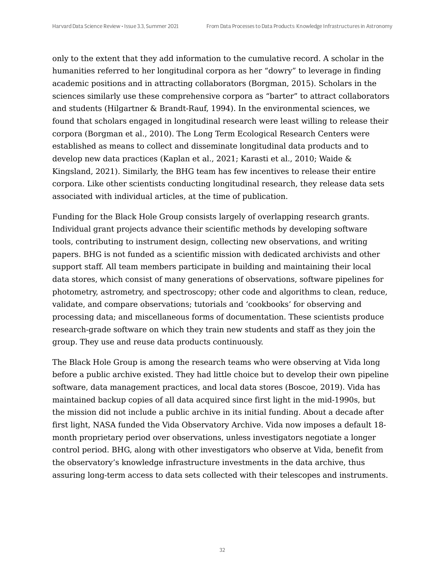only to the extent that they add information to the cumulative record. A scholar in the humanities referred to her longitudinal corpora as her "dowry" to leverage in finding academic positions and in attracting collaborators (Borgman, 2015). Scholars in the sciences similarly use these comprehensive corpora as "barter" to attract collaborators and students (Hilgartner & Brandt-Rauf, 1994). In the environmental sciences, we found that scholars engaged in longitudinal research were least willing to release their corpora (Borgman et al., 2010). The Long Term Ecological Research Centers were established as means to collect and disseminate longitudinal data products and to develop new data practices (Kaplan et al., 2021; Karasti et al., 2010; Waide & Kingsland, 2021). Similarly, the BHG team has few incentives to release their entire corpora. Like other scientists conducting longitudinal research, they release data sets associated with individual articles, at the time of publication.

Funding for the Black Hole Group consists largely of overlapping research grants. Individual grant projects advance their scientific methods by developing software tools, contributing to instrument design, collecting new observations, and writing papers. BHG is not funded as a scientific mission with dedicated archivists and other support staff. All team members participate in building and maintaining their local data stores, which consist of many generations of observations, software pipelines for photometry, astrometry, and spectroscopy; other code and algorithms to clean, reduce, validate, and compare observations; tutorials and 'cookbooks' for observing and processing data; and miscellaneous forms of documentation. These scientists produce research-grade software on which they train new students and staff as they join the group. They use and reuse data products continuously.

The Black Hole Group is among the research teams who were observing at Vida long before a public archive existed. They had little choice but to develop their own pipeline software, data management practices, and local data stores (Boscoe, 2019). Vida has maintained backup copies of all data acquired since first light in the mid-1990s, but the mission did not include a public archive in its initial funding. About a decade after first light, NASA funded the Vida Observatory Archive. Vida now imposes a default 18 month proprietary period over observations, unless investigators negotiate a longer control period. BHG, along with other investigators who observe at Vida, benefit from the observatory's knowledge infrastructure investments in the data archive, thus assuring long-term access to data sets collected with their telescopes and instruments.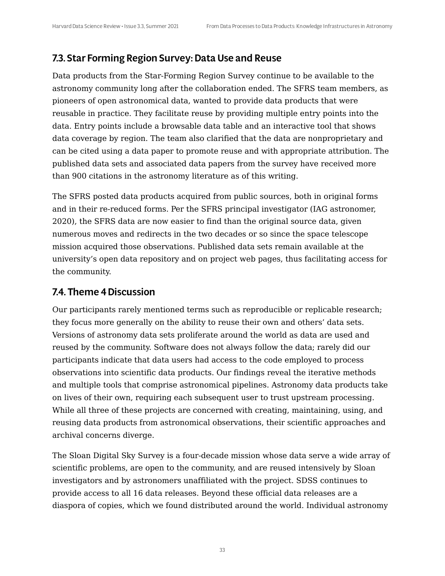#### 7.3. Star Forming Region Survey:Data Use and Reuse

Data products from the Star-Forming Region Survey continue to be available to the astronomy community long after the collaboration ended. The SFRS team members, as pioneers of open astronomical data, wanted to provide data products that were reusable in practice. They facilitate reuse by providing multiple entry points into the data. Entry points include a browsable data table and an interactive tool that shows data coverage by region. The team also clarified that the data are nonproprietary and can be cited using a data paper to promote reuse and with appropriate attribution. The published data sets and associated data papers from the survey have received more than 900 citations in the astronomy literature as of this writing.

The SFRS posted data products acquired from public sources, both in original forms and in their re-reduced forms. Per the SFRS principal investigator (IAG astronomer, 2020), the SFRS data are now easier to find than the original source data, given numerous moves and redirects in the two decades or so since the space telescope mission acquired those observations. Published data sets remain available at the university's open data repository and on project web pages, thus facilitating access for the community.

#### 7.4. Theme 4Discussion

Our participants rarely mentioned terms such as reproducible or replicable research; they focus more generally on the ability to reuse their own and others' data sets. Versions of astronomy data sets proliferate around the world as data are used and reused by the community. Software does not always follow the data; rarely did our participants indicate that data users had access to the code employed to process observations into scientific data products. Our findings reveal the iterative methods and multiple tools that comprise astronomical pipelines. Astronomy data products take on lives of their own, requiring each subsequent user to trust upstream processing. While all three of these projects are concerned with creating, maintaining, using, and reusing data products from astronomical observations, their scientific approaches and archival concerns diverge.

The Sloan Digital Sky Survey is a four-decade mission whose data serve a wide array of scientific problems, are open to the community, and are reused intensively by Sloan investigators and by astronomers unaffiliated with the project. SDSS continues to provide access to all 16 data releases. Beyond these official data releases are a diaspora of copies, which we found distributed around the world. Individual astronomy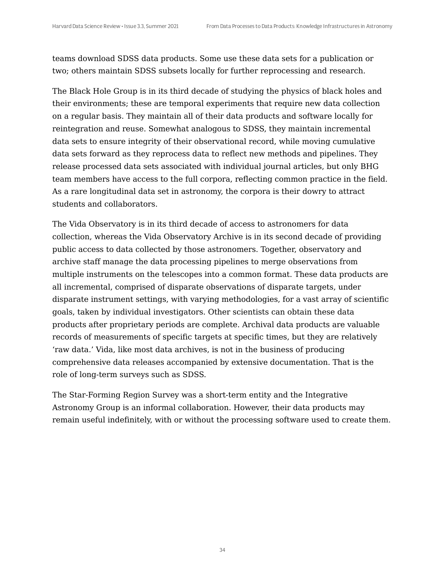teams download SDSS data products. Some use these data sets for a publication or two; others maintain SDSS subsets locally for further reprocessing and research.

The Black Hole Group is in its third decade of studying the physics of black holes and their environments; these are temporal experiments that require new data collection on a regular basis. They maintain all of their data products and software locally for reintegration and reuse. Somewhat analogous to SDSS, they maintain incremental data sets to ensure integrity of their observational record, while moving cumulative data sets forward as they reprocess data to reflect new methods and pipelines. They release processed data sets associated with individual journal articles, but only BHG team members have access to the full corpora, reflecting common practice in the field. As a rare longitudinal data set in astronomy, the corpora is their dowry to attract students and collaborators.

The Vida Observatory is in its third decade of access to astronomers for data collection, whereas the Vida Observatory Archive is in its second decade of providing public access to data collected by those astronomers. Together, observatory and archive staff manage the data processing pipelines to merge observations from multiple instruments on the telescopes into a common format. These data products are all incremental, comprised of disparate observations of disparate targets, under disparate instrument settings, with varying methodologies, for a vast array of scientific goals, taken by individual investigators. Other scientists can obtain these data products after proprietary periods are complete. Archival data products are valuable records of measurements of specific targets at specific times, but they are relatively 'raw data.' Vida, like most data archives, is not in the business of producing comprehensive data releases accompanied by extensive documentation. That is the role of long-term surveys such as SDSS.

The Star-Forming Region Survey was a short-term entity and the Integrative Astronomy Group is an informal collaboration. However, their data products may remain useful indefinitely, with or without the processing software used to create them.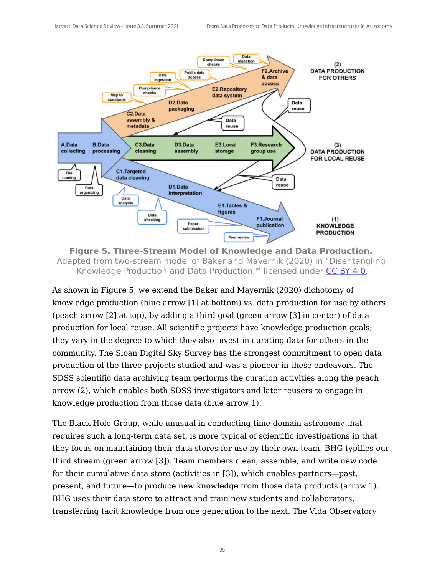

**Figure 5. Three-Stream Model of Knowledge and Data Production.** Adapted from two-stream model of Baker and Mayernik (2020) in "Disentangling Knowledge Production and Data Production, **"** licensed under CC BY [4.0](https://creativecommons.org/licenses/by/4.0/).

As shown in Figure 5, we extend the Baker and Mayernik (2020) dichotomy of knowledge production (blue arrow [1] at bottom) vs. data production for use by others (peach arrow [2] at top), by adding a third goal (green arrow [3] in center) of data production for local reuse. All scientific projects have knowledge production goals; they vary in the degree to which they also invest in curating data for others in the community. The Sloan Digital Sky Survey has the strongest commitment to open data production of the three projects studied and was a pioneer in these endeavors. The SDSS scientific data archiving team performs the curation activities along the peach arrow (2), which enables both SDSS investigators and later reusers to engage in knowledge production from those data (blue arrow 1).

The Black Hole Group, while unusual in conducting time-domain astronomy that requires such a long-term data set, is more typical of scientific investigations in that they focus on maintaining their data stores for use by their own team. BHG typifies our third stream (green arrow [3]). Team members clean, assemble, and write new code for their cumulative data store (activities in [3]), which enables partners—past, present, and future—to produce new knowledge from those data products (arrow 1). BHG uses their data store to attract and train new students and collaborators, transferring tacit knowledge from one generation to the next. The Vida Observatory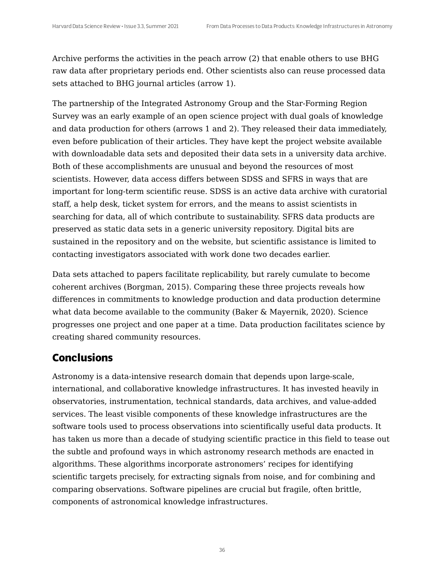Archive performs the activities in the peach arrow (2) that enable others to use BHG raw data after proprietary periods end. Other scientists also can reuse processed data sets attached to BHG journal articles (arrow 1).

The partnership of the Integrated Astronomy Group and the Star-Forming Region Survey was an early example of an open science project with dual goals of knowledge and data production for others (arrows 1 and 2). They released their data immediately, even before publication of their articles. They have kept the project website available with downloadable data sets and deposited their data sets in a university data archive. Both of these accomplishments are unusual and beyond the resources of most scientists. However, data access differs between SDSS and SFRS in ways that are important for long-term scientific reuse. SDSS is an active data archive with curatorial staff, a help desk, ticket system for errors, and the means to assist scientists in searching for data, all of which contribute to sustainability. SFRS data products are preserved as static data sets in a generic university repository. Digital bits are sustained in the repository and on the website, but scientific assistance is limited to contacting investigators associated with work done two decades earlier.

Data sets attached to papers facilitate replicability, but rarely cumulate to become coherent archives (Borgman, 2015). Comparing these three projects reveals how differences in commitments to knowledge production and data production determine what data become available to the community (Baker & Mayernik, 2020). Science progresses one project and one paper at a time. Data production facilitates science by creating shared community resources.

## **Conclusions**

Astronomy is a data-intensive research domain that depends upon large-scale, international, and collaborative knowledge infrastructures. It has invested heavily in observatories, instrumentation, technical standards, data archives, and value-added services. The least visible components of these knowledge infrastructures are the software tools used to process observations into scientifically useful data products. It has taken us more than a decade of studying scientific practice in this field to tease out the subtle and profound ways in which astronomy research methods are enacted in algorithms. These algorithms incorporate astronomers' recipes for identifying scientific targets precisely, for extracting signals from noise, and for combining and comparing observations. Software pipelines are crucial but fragile, often brittle, components of astronomical knowledge infrastructures.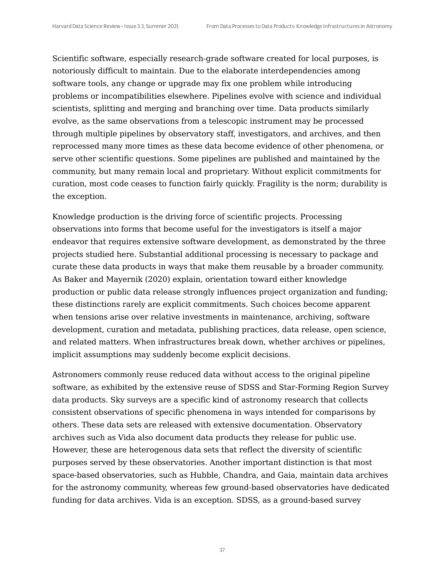Scientific software, especially research-grade software created for local purposes, is notoriously difficult to maintain. Due to the elaborate interdependencies among software tools, any change or upgrade may fix one problem while introducing problems or incompatibilities elsewhere. Pipelines evolve with science and individual scientists, splitting and merging and branching over time. Data products similarly evolve, as the same observations from a telescopic instrument may be processed through multiple pipelines by observatory staff, investigators, and archives, and then reprocessed many more times as these data become evidence of other phenomena, or serve other scientific questions. Some pipelines are published and maintained by the community, but many remain local and proprietary. Without explicit commitments for curation, most code ceases to function fairly quickly. Fragility is the norm; durability is the exception.

Knowledge production is the driving force of scientific projects. Processing observations into forms that become useful for the investigators is itself a major endeavor that requires extensive software development, as demonstrated by the three projects studied here. Substantial additional processing is necessary to package and curate these data products in ways that make them reusable by a broader community. As Baker and Mayernik (2020) explain, orientation toward either knowledge production or public data release strongly influences project organization and funding; these distinctions rarely are explicit commitments. Such choices become apparent when tensions arise over relative investments in maintenance, archiving, software development, curation and metadata, publishing practices, data release, open science, and related matters. When infrastructures break down, whether archives or pipelines, implicit assumptions may suddenly become explicit decisions.

Astronomers commonly reuse reduced data without access to the original pipeline software, as exhibited by the extensive reuse of SDSS and Star-Forming Region Survey data products. Sky surveys are a specific kind of astronomy research that collects consistent observations of specific phenomena in ways intended for comparisons by others. These data sets are released with extensive documentation. Observatory archives such as Vida also document data products they release for public use. However, these are heterogenous data sets that reflect the diversity of scientific purposes served by these observatories. Another important distinction is that most space-based observatories, such as Hubble, Chandra, and Gaia, maintain data archives for the astronomy community, whereas few ground-based observatories have dedicated funding for data archives. Vida is an exception. SDSS, as a ground-based survey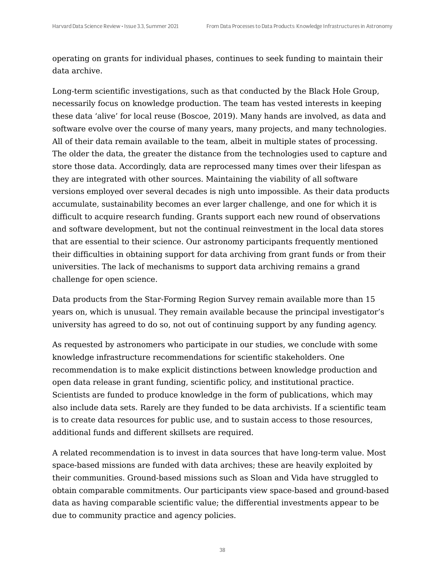operating on grants for individual phases, continues to seek funding to maintain their data archive.

Long-term scientific investigations, such as that conducted by the Black Hole Group, necessarily focus on knowledge production. The team has vested interests in keeping these data 'alive' for local reuse (Boscoe, 2019). Many hands are involved, as data and software evolve over the course of many years, many projects, and many technologies. All of their data remain available to the team, albeit in multiple states of processing. The older the data, the greater the distance from the technologies used to capture and store those data. Accordingly, data are reprocessed many times over their lifespan as they are integrated with other sources. Maintaining the viability of all software versions employed over several decades is nigh unto impossible. As their data products accumulate, sustainability becomes an ever larger challenge, and one for which it is difficult to acquire research funding. Grants support each new round of observations and software development, but not the continual reinvestment in the local data stores that are essential to their science. Our astronomy participants frequently mentioned their difficulties in obtaining support for data archiving from grant funds or from their universities. The lack of mechanisms to support data archiving remains a grand challenge for open science.

Data products from the Star-Forming Region Survey remain available more than 15 years on, which is unusual. They remain available because the principal investigator's university has agreed to do so, not out of continuing support by any funding agency.

As requested by astronomers who participate in our studies, we conclude with some knowledge infrastructure recommendations for scientific stakeholders. One recommendation is to make explicit distinctions between knowledge production and open data release in grant funding, scientific policy, and institutional practice. Scientists are funded to produce knowledge in the form of publications, which may also include data sets. Rarely are they funded to be data archivists. If a scientific team is to create data resources for public use, and to sustain access to those resources, additional funds and different skillsets are required.

A related recommendation is to invest in data sources that have long-term value. Most space-based missions are funded with data archives; these are heavily exploited by their communities. Ground-based missions such as Sloan and Vida have struggled to obtain comparable commitments. Our participants view space-based and ground-based data as having comparable scientific value; the differential investments appear to be due to community practice and agency policies.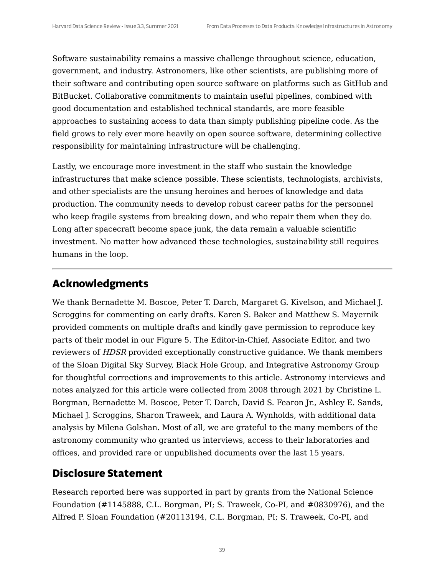Software sustainability remains a massive challenge throughout science, education, government, and industry. Astronomers, like other scientists, are publishing more of their software and contributing open source software on platforms such as GitHub and BitBucket. Collaborative commitments to maintain useful pipelines, combined with good documentation and established technical standards, are more feasible approaches to sustaining access to data than simply publishing pipeline code. As the field grows to rely ever more heavily on open source software, determining collective responsibility for maintaining infrastructure will be challenging.

Lastly, we encourage more investment in the staff who sustain the knowledge infrastructures that make science possible. These scientists, technologists, archivists, and other specialists are the unsung heroines and heroes of knowledge and data production. The community needs to develop robust career paths for the personnel who keep fragile systems from breaking down, and who repair them when they do. Long after spacecraft become space junk, the data remain a valuable scientific investment. No matter how advanced these technologies, sustainability still requires humans in the loop.

#### **Acknowledgments**

We thank Bernadette M. Boscoe, Peter T. Darch, Margaret G. Kivelson, and Michael J. Scroggins for commenting on early drafts. Karen S. Baker and Matthew S. Mayernik provided comments on multiple drafts and kindly gave permission to reproduce key parts of their model in our Figure 5. The Editor-in-Chief, Associate Editor, and two reviewers of HDSR provided exceptionally constructive guidance. We thank members of the Sloan Digital Sky Survey, Black Hole Group, and Integrative Astronomy Group for thoughtful corrections and improvements to this article. Astronomy interviews and notes analyzed for this article were collected from 2008 through 2021 by Christine L. Borgman, Bernadette M. Boscoe, Peter T. Darch, David S. Fearon Jr., Ashley E. Sands, Michael J. Scroggins, Sharon Traweek, and Laura A. Wynholds, with additional data analysis by Milena Golshan. Most of all, we are grateful to the many members of the astronomy community who granted us interviews, access to their laboratories and offices, and provided rare or unpublished documents over the last 15 years.

#### **Disclosure Statement**

Research reported here was supported in part by grants from the National Science Foundation (#1145888, C.L. Borgman, PI; S. Traweek, Co-PI, and #0830976), and the Alfred P. Sloan Foundation (#20113194, C.L. Borgman, PI; S. Traweek, Co-PI, and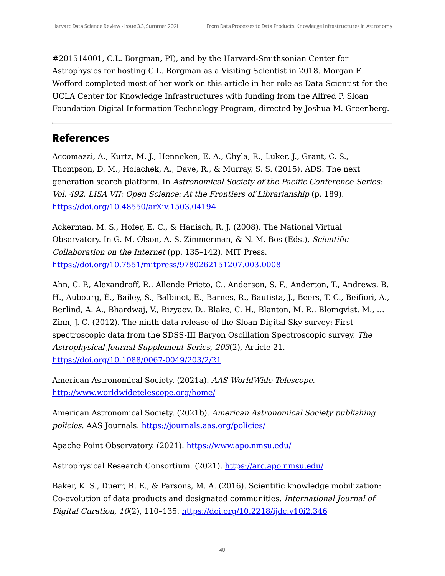#201514001, C.L. Borgman, PI), and by the Harvard-Smithsonian Center for Astrophysics for hosting C.L. Borgman as a Visiting Scientist in 2018. Morgan F. Wofford completed most of her work on this article in her role as Data Scientist for the UCLA Center for Knowledge Infrastructures with funding from the Alfred P. Sloan Foundation Digital Information Technology Program, directed by Joshua M. Greenberg.

#### **References**

Accomazzi, A., Kurtz, M. J., Henneken, E. A., Chyla, R., Luker, J., Grant, C. S., Thompson, D. M., Holachek, A., Dave, R., & Murray, S. S. (2015). ADS: The next generation search platform. In Astronomical Society of the Pacific Conference Series: Vol. 492. LISA VII: Open Science: At the Frontiers of Librarianship (p. 189). <https://doi.org/10.48550/arXiv.1503.04194>

Ackerman, M. S., Hofer, E. C., & Hanisch, R. J. (2008). The National Virtual Observatory. In G. M. Olson, A. S. Zimmerman, & N. M. Bos (Eds.), Scientific Collaboration on the Internet (pp. 135–142). MIT Press. <https://doi.org/10.7551/mitpress/9780262151207.003.0008>

Ahn, C. P., Alexandroff, R., Allende Prieto, C., Anderson, S. F., Anderton, T., Andrews, B. H., Aubourg, É., Bailey, S., Balbinot, E., Barnes, R., Bautista, J., Beers, T. C., Beifiori, A., Berlind, A. A., Bhardwaj, V., Bizyaev, D., Blake, C. H., Blanton, M. R., Blomqvist, M., … Zinn, J. C. (2012). The ninth data release of the Sloan Digital Sky survey: First spectroscopic data from the SDSS-III Baryon Oscillation Spectroscopic survey. The Astrophysical Journal Supplement Series, 203(2), Article 21. <https://doi.org/10.1088/0067-0049/203/2/21>

American Astronomical Society. (2021a). AAS WorldWide Telescope. <http://www.worldwidetelescope.org/home/>

American Astronomical Society. (2021b). American Astronomical Society publishing policies. AAS Journals. <https://journals.aas.org/policies/>

Apache Point Observatory. (2021). <https://www.apo.nmsu.edu/>

Astrophysical Research Consortium. (2021). <https://arc.apo.nmsu.edu/>

Baker, K. S., Duerr, R. E., & Parsons, M. A. (2016). Scientific knowledge mobilization: Co-evolution of data products and designated communities. International Journal of Digital Curation, 10(2), 110–135. <https://doi.org/10.2218/ijdc.v10i2.346>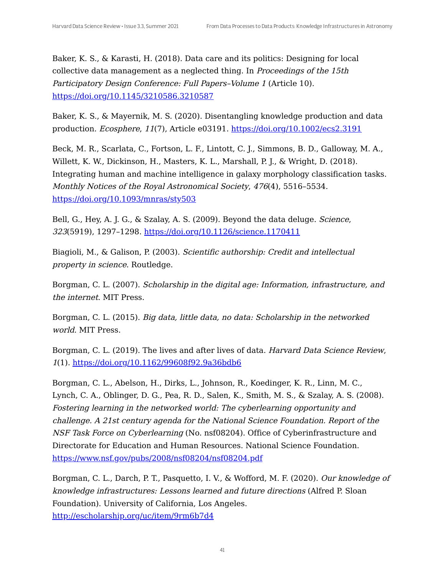Baker, K. S., & Karasti, H. (2018). Data care and its politics: Designing for local collective data management as a neglected thing. In Proceedings of the 15th Participatory Design Conference: Full Papers–Volume 1 (Article 10). <https://doi.org/10.1145/3210586.3210587>

Baker, K. S., & Mayernik, M. S. (2020). Disentangling knowledge production and data production. Ecosphere, 11(7), Article e03191. <https://doi.org/10.1002/ecs2.3191>

Beck, M. R., Scarlata, C., Fortson, L. F., Lintott, C. J., Simmons, B. D., Galloway, M. A., Willett, K. W., Dickinson, H., Masters, K. L., Marshall, P. J., & Wright, D. (2018). Integrating human and machine intelligence in galaxy morphology classification tasks. Monthly Notices of the Royal Astronomical Society, 476(4), 5516–5534. <https://doi.org/10.1093/mnras/sty503>

Bell, G., Hey, A. J. G., & Szalay, A. S. (2009). Beyond the data deluge. Science, 323(5919), 1297–1298. <https://doi.org/10.1126/science.1170411>

Biagioli, M., & Galison, P. (2003). Scientific authorship: Credit and intellectual property in science. Routledge.

Borgman, C. L. (2007). Scholarship in the digital age: Information, infrastructure, and the internet. MIT Press.

Borgman, C. L. (2015). Big data, little data, no data: Scholarship in the networked world. MIT Press.

Borgman, C. L. (2019). The lives and after lives of data. Harvard Data Science Review, 1(1). <https://doi.org/10.1162/99608f92.9a36bdb6>

Borgman, C. L., Abelson, H., Dirks, L., Johnson, R., Koedinger, K. R., Linn, M. C., Lynch, C. A., Oblinger, D. G., Pea, R. D., Salen, K., Smith, M. S., & Szalay, A. S. (2008). Fostering learning in the networked world: The cyberlearning opportunity and challenge. A 21st century agenda for the National Science Foundation. Report of the NSF Task Force on Cyberlearning (No. nsf08204). Office of Cyberinfrastructure and Directorate for Education and Human Resources. National Science Foundation. <https://www.nsf.gov/pubs/2008/nsf08204/nsf08204.pdf>

Borgman, C. L., Darch, P. T., Pasquetto, I. V., & Wofford, M. F. (2020). Our knowledge of knowledge infrastructures: Lessons learned and future directions (Alfred P. Sloan Foundation). University of California, Los Angeles. <http://escholarship.org/uc/item/9rm6b7d4>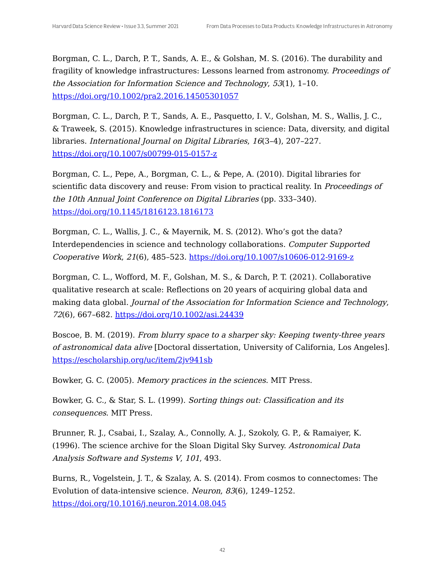Borgman, C. L., Darch, P. T., Sands, A. E., & Golshan, M. S. (2016). The durability and fragility of knowledge infrastructures: Lessons learned from astronomy. Proceedings of the Association for Information Science and Technology, 53(1), 1–10. <https://doi.org/10.1002/pra2.2016.14505301057>

Borgman, C. L., Darch, P. T., Sands, A. E., Pasquetto, I. V., Golshan, M. S., Wallis, J. C., & Traweek, S. (2015). Knowledge infrastructures in science: Data, diversity, and digital libraries. International Journal on Digital Libraries, 16(3–4), 207–227. <https://doi.org/10.1007/s00799-015-0157-z>

Borgman, C. L., Pepe, A., Borgman, C. L., & Pepe, A. (2010). Digital libraries for scientific data discovery and reuse: From vision to practical reality. In *Proceedings of* the 10th Annual Joint Conference on Digital Libraries (pp. 333–340). <https://doi.org/10.1145/1816123.1816173>

Borgman, C. L., Wallis, J. C., & Mayernik, M. S. (2012). Who's got the data? Interdependencies in science and technology collaborations. Computer Supported Cooperative Work, 21(6), 485–523. <https://doi.org/10.1007/s10606-012-9169-z>

Borgman, C. L., Wofford, M. F., Golshan, M. S., & Darch, P. T. (2021). Collaborative qualitative research at scale: Reflections on 20 years of acquiring global data and making data global. Journal of the Association for Information Science and Technology, 72(6), 667-682. <https://doi.org/10.1002/asi.24439>

Boscoe, B. M. (2019). From blurry space to <sup>a</sup> sharper sky: Keeping twenty-three years of astronomical data alive [Doctoral dissertation, University of California, Los Angeles]. <https://escholarship.org/uc/item/2jv941sb>

Bowker, G. C. (2005). Memory practices in the sciences. MIT Press.

Bowker, G. C., & Star, S. L. (1999). Sorting things out: Classification and its consequences. MIT Press.

Brunner, R. J., Csabai, I., Szalay, A., Connolly, A. J., Szokoly, G. P., & Ramaiyer, K. (1996). The science archive for the Sloan Digital Sky Survey. Astronomical Data Analysis Software and Systems V, 101, 493.

Burns, R., Vogelstein, J. T., & Szalay, A. S. (2014). From cosmos to connectomes: The Evolution of data-intensive science. Neuron, 83(6), 1249–1252. <https://doi.org/10.1016/j.neuron.2014.08.045>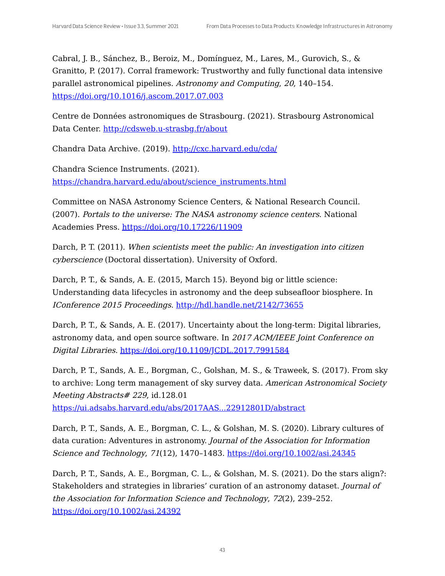Cabral, J. B., Sánchez, B., Beroiz, M., Domínguez, M., Lares, M., Gurovich, S., & Granitto, P. (2017). Corral framework: Trustworthy and fully functional data intensive parallel astronomical pipelines. Astronomy and Computing, 20, 140–154. <https://doi.org/10.1016/j.ascom.2017.07.003>

Centre de Données astronomiques de Strasbourg. (2021). Strasbourg Astronomical Data Center. <http://cdsweb.u-strasbg.fr/about>

Chandra Data Archive. (2019). <http://cxc.harvard.edu/cda/>

Chandra Science Instruments. (2021). [https://chandra.harvard.edu/about/science\\_instruments.html](https://chandra.harvard.edu/about/science_instruments.html)

Committee on NASA Astronomy Science Centers, & National Research Council. (2007). Portals to the universe: The NASA astronomy science centers. National Academies Press. <https://doi.org/10.17226/11909>

Darch, P. T. (2011). When scientists meet the public: An investigation into citizen cyberscience (Doctoral dissertation). University of Oxford.

Darch, P. T., & Sands, A. E. (2015, March 15). Beyond big or little science: Understanding data lifecycles in astronomy and the deep subseafloor biosphere. In IConference 2015 Proceedings. <http://hdl.handle.net/2142/73655>

Darch, P. T., & Sands, A. E. (2017). Uncertainty about the long-term: Digital libraries, astronomy data, and open source software. In 2017 ACM/IEEE Joint Conference on Digital Libraries. <https://doi.org/10.1109/JCDL.2017.7991584>

Darch, P. T., Sands, A. E., Borgman, C., Golshan, M. S., & Traweek, S. (2017). From sky to archive: Long term management of sky survey data. American Astronomical Society Meeting Abstracts# 229, id.128.01

<https://ui.adsabs.harvard.edu/abs/2017AAS...22912801D/abstract>

Darch, P. T., Sands, A. E., Borgman, C. L., & Golshan, M. S. (2020). Library cultures of data curation: Adventures in astronomy. Journal of the Association for Information Science and Technology, 71(12), 1470-1483. <https://doi.org/10.1002/asi.24345>

Darch, P. T., Sands, A. E., Borgman, C. L., & Golshan, M. S. (2021). Do the stars align?: Stakeholders and strategies in libraries' curation of an astronomy dataset. Journal of the Association for Information Science and Technology, 72(2), 239–252. <https://doi.org/10.1002/asi.24392>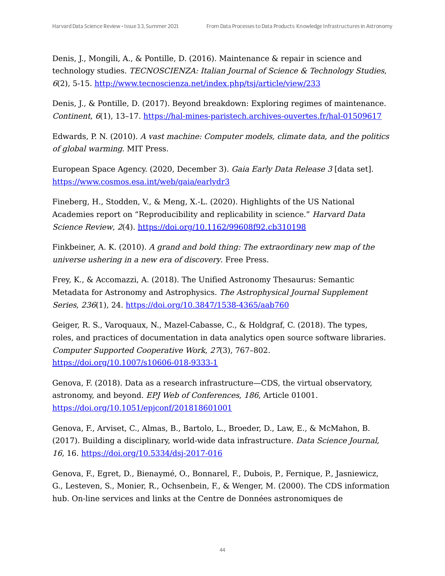Denis, J., Mongili, A., & Pontille, D. (2016). Maintenance & repair in science and technology studies. TECNOSCIENZA: Italian Journal of Science & Technology Studies, 6(2), 5-15. <http://www.tecnoscienza.net/index.php/tsj/article/view/233>

Denis, J., & Pontille, D. (2017). Beyond breakdown: Exploring regimes of maintenance. Continent, 6(1), 13-17. <https://hal-mines-paristech.archives-ouvertes.fr/hal-01509617>

Edwards, P. N. (2010). A vast machine: Computer models, climate data, and the politics of global warming. MIT Press.

European Space Agency. (2020, December 3). Gaia Early Data Release 3 [data set]. <https://www.cosmos.esa.int/web/gaia/earlydr3>

Fineberg, H., Stodden, V., & Meng, X.-L. (2020). Highlights of the US National Academies report on "Reproducibility and replicability in science." Harvard Data Science Review, 2(4). <https://doi.org/10.1162/99608f92.cb310198>

Finkbeiner, A. K. (2010). A grand and bold thing: The extraordinary new map of the universe ushering in <sup>a</sup> new era of discovery. Free Press.

Frey, K., & Accomazzi, A. (2018). The Unified Astronomy Thesaurus: Semantic Metadata for Astronomy and Astrophysics. The Astrophysical Journal Supplement Series, 236(1), 24. <https://doi.org/10.3847/1538-4365/aab760>

Geiger, R. S., Varoquaux, N., Mazel-Cabasse, C., & Holdgraf, C. (2018). The types, roles, and practices of documentation in data analytics open source software libraries. Computer Supported Cooperative Work, 27(3), 767–802. <https://doi.org/10.1007/s10606-018-9333-1>

Genova, F. (2018). Data as a research infrastructure—CDS, the virtual observatory, astronomy, and beyond. EPJ Web of Conferences, 186, Article 01001. <https://doi.org/10.1051/epjconf/201818601001>

Genova, F., Arviset, C., Almas, B., Bartolo, L., Broeder, D., Law, E., & McMahon, B. (2017). Building a disciplinary, world-wide data infrastructure. Data Science Journal, 16, 16. <https://doi.org/10.5334/dsj-2017-016>

Genova, F., Egret, D., Bienaymé, O., Bonnarel, F., Dubois, P., Fernique, P., Jasniewicz, G., Lesteven, S., Monier, R., Ochsenbein, F., & Wenger, M. (2000). The CDS information hub. On-line services and links at the Centre de Données astronomiques de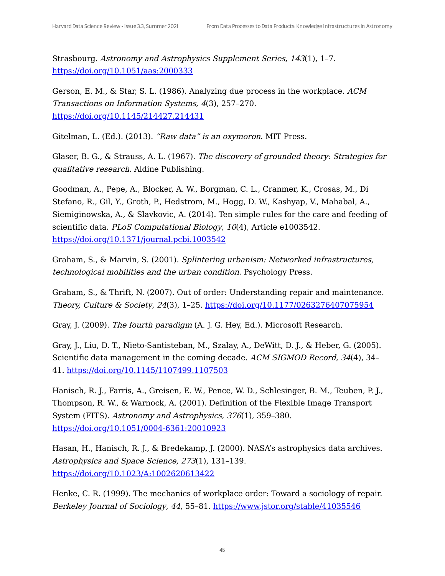Strasbourg. Astronomy and Astrophysics Supplement Series, 143(1), 1–7. <https://doi.org/10.1051/aas:2000333>

Gerson, E. M., & Star, S. L. (1986). Analyzing due process in the workplace. ACM Transactions on Information Systems, 4(3), 257–270. <https://doi.org/10.1145/214427.214431>

Gitelman, L. (Ed.). (2013). "Raw data" is an oxymoron. MIT Press.

Glaser, B. G., & Strauss, A. L. (1967). The discovery of grounded theory: Strategies for qualitative research. Aldine Publishing.

Goodman, A., Pepe, A., Blocker, A. W., Borgman, C. L., Cranmer, K., Crosas, M., Di Stefano, R., Gil, Y., Groth, P., Hedstrom, M., Hogg, D. W., Kashyap, V., Mahabal, A., Siemiginowska, A., & Slavkovic, A. (2014). Ten simple rules for the care and feeding of scientific data. PLoS Computational Biology, 10(4), Article e1003542. <https://doi.org/10.1371/journal.pcbi.1003542>

Graham, S., & Marvin, S. (2001). Splintering urbanism: Networked infrastructures, technological mobilities and the urban condition. Psychology Press.

Graham, S., & Thrift, N. (2007). Out of order: Understanding repair and maintenance. Theory, Culture & Society, 24(3), 1–25. <https://doi.org/10.1177/0263276407075954>

Gray, J. (2009). The fourth paradigm (A. J. G. Hey, Ed.). Microsoft Research.

Gray, J., Liu, D. T., Nieto-Santisteban, M., Szalay, A., DeWitt, D. J., & Heber, G. (2005). Scientific data management in the coming decade. ACM SIGMOD Record, 34(4), 34-41. <https://doi.org/10.1145/1107499.1107503>

Hanisch, R. J., Farris, A., Greisen, E. W., Pence, W. D., Schlesinger, B. M., Teuben, P. J., Thompson, R. W., & Warnock, A. (2001). Definition of the Flexible Image Transport System (FITS). Astronomy and Astrophysics, 376(1), 359–380. <https://doi.org/10.1051/0004-6361:20010923>

Hasan, H., Hanisch, R. J., & Bredekamp, J. (2000). NASA's astrophysics data archives. Astrophysics and Space Science, 273(1), 131–139. <https://doi.org/10.1023/A:1002620613422>

Henke, C. R. (1999). The mechanics of workplace order: Toward a sociology of repair. Berkeley Journal of Sociology, 44, 55–81. <https://www.jstor.org/stable/41035546>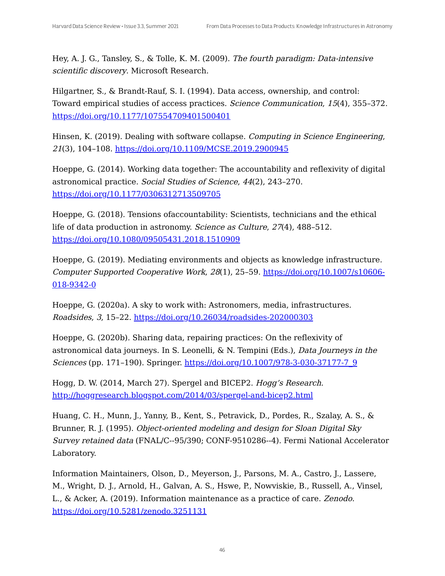Hey, A. J. G., Tansley, S., & Tolle, K. M. (2009). The fourth paradigm: Data-intensive scientific discovery. Microsoft Research.

Hilgartner, S., & Brandt-Rauf, S. I. (1994). Data access, ownership, and control: Toward empirical studies of access practices. Science Communication, 15(4), 355–372. <https://doi.org/10.1177/107554709401500401>

Hinsen, K. (2019). Dealing with software collapse. Computing in Science Engineering, 21(3), 104–108. <https://doi.org/10.1109/MCSE.2019.2900945>

Hoeppe, G. (2014). Working data together: The accountability and reflexivity of digital astronomical practice. Social Studies of Science, 44(2), 243–270. <https://doi.org/10.1177/0306312713509705>

Hoeppe, G. (2018). Tensions ofaccountability: Scientists, technicians and the ethical life of data production in astronomy. *Science as Culture, 27*(4), 488-512. <https://doi.org/10.1080/09505431.2018.1510909>

Hoeppe, G. (2019). Mediating environments and objects as knowledge infrastructure. Computer Supported Cooperative Work, 28(1), 25–59. [https://doi.org/10.1007/s10606-](https://doi.org/10.1007/s10606-018-9342-0) 018-9342-0

Hoeppe, G. (2020a). A sky to work with: Astronomers, media, infrastructures. Roadsides, 3, 15–22. <https://doi.org/10.26034/roadsides-202000303>

Hoeppe, G. (2020b). Sharing data, repairing practices: On the reflexivity of astronomical data journeys. In S. Leonelli, & N. Tempini (Eds.), Data Journeys in the Sciences (pp. 171-190). Springer. [https://doi.org/10.1007/978-3-030-37177-7\\_9](https://doi.org/10.1007/978-3-030-37177-7_9)

Hogg, D. W. (2014, March 27). Spergel and BICEP2. Hogg's Research. <http://hoggresearch.blogspot.com/2014/03/spergel-and-bicep2.html>

Huang, C. H., Munn, J., Yanny, B., Kent, S., Petravick, D., Pordes, R., Szalay, A. S., & Brunner, R. J. (1995). Object-oriented modeling and design for Sloan Digital Sky Survey retained data (FNAL/C--95/390; CONF-9510286--4). Fermi National Accelerator Laboratory.

Information Maintainers, Olson, D., Meyerson, J., Parsons, M. A., Castro, J., Lassere, M., Wright, D. J., Arnold, H., Galvan, A. S., Hswe, P., Nowviskie, B., Russell, A., Vinsel, L., & Acker, A. (2019). Information maintenance as a practice of care. Zenodo. <https://doi.org/10.5281/zenodo.3251131>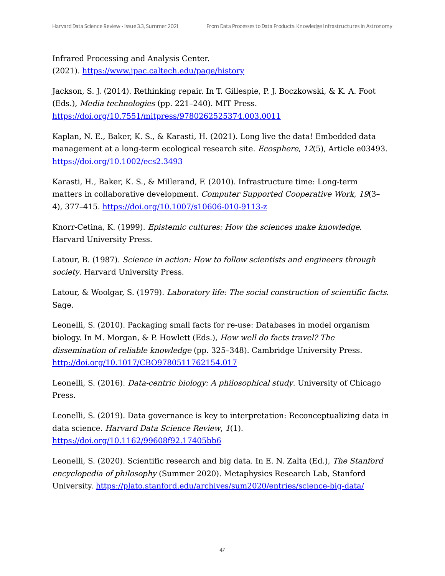Infrared Processing and Analysis Center. (2021). <https://www.ipac.caltech.edu/page/history>

Jackson, S. J. (2014). Rethinking repair. In T. Gillespie, P. J. Boczkowski, & K. A. Foot (Eds.), Media technologies (pp. 221–240). MIT Press. <https://doi.org/10.7551/mitpress/9780262525374.003.0011>

Kaplan, N. E., Baker, K. S., & Karasti, H. (2021). Long live the data! Embedded data management at a long-term ecological research site. Ecosphere, 12(5), Article e03493. <https://doi.org/10.1002/ecs2.3493>

Karasti, H., Baker, K. S., & Millerand, F. (2010). Infrastructure time: Long-term matters in collaborative development. Computer Supported Cooperative Work, 19(3– 4), 377–415. <https://doi.org/10.1007/s10606-010-9113-z>

Knorr-Cetina, K. (1999). Epistemic cultures: How the sciences make knowledge. Harvard University Press.

Latour, B. (1987). Science in action: How to follow scientists and engineers through society. Harvard University Press.

Latour, & Woolgar, S. (1979). Laboratory life: The social construction of scientific facts. Sage.

Leonelli, S. (2010). Packaging small facts for re-use: Databases in model organism biology. In M. Morgan, & P. Howlett (Eds.), How well do facts travel? The dissemination of reliable knowledge (pp. 325–348). Cambridge University Press. <http://doi.org/10.1017/CBO9780511762154.017>

Leonelli, S. (2016). *Data-centric biology: A philosophical study*. University of Chicago Press.

Leonelli, S. (2019). Data governance is key to interpretation: Reconceptualizing data in data science. Harvard Data Science Review, 1(1). <https://doi.org/10.1162/99608f92.17405bb6>

Leonelli, S. (2020). Scientific research and big data. In E. N. Zalta (Ed.), The Stanford encyclopedia of philosophy (Summer 2020). Metaphysics Research Lab, Stanford University. <https://plato.stanford.edu/archives/sum2020/entries/science-big-data/>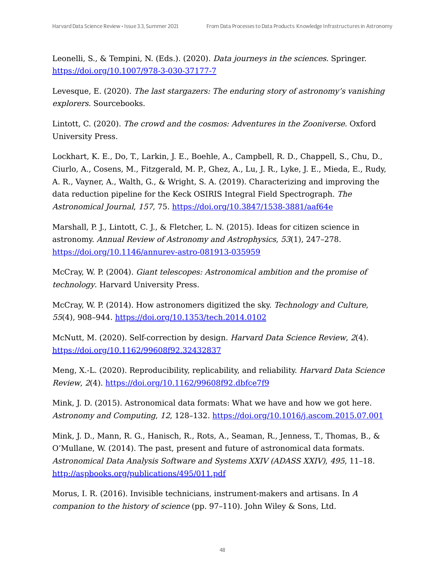Leonelli, S., & Tempini, N. (Eds.). (2020). Data journeys in the sciences. Springer. <https://doi.org/10.1007/978-3-030-37177-7>

Levesque, E. (2020). The last stargazers: The enduring story of astronomy's vanishing explorers. Sourcebooks.

Lintott, C. (2020). The crowd and the cosmos: Adventures in the Zooniverse. Oxford University Press.

Lockhart, K. E., Do, T., Larkin, J. E., Boehle, A., Campbell, R. D., Chappell, S., Chu, D., Ciurlo, A., Cosens, M., Fitzgerald, M. P., Ghez, A., Lu, J. R., Lyke, J. E., Mieda, E., Rudy, A. R., Vayner, A., Walth, G., & Wright, S. A. (2019). Characterizing and improving the data reduction pipeline for the Keck OSIRIS Integral Field Spectrograph. The Astronomical Journal, 157, 75. <https://doi.org/10.3847/1538-3881/aaf64e>

Marshall, P. J., Lintott, C. J., & Fletcher, L. N. (2015). Ideas for citizen science in astronomy. Annual Review of Astronomy and Astrophysics, 53(1), 247–278. <https://doi.org/10.1146/annurev-astro-081913-035959>

McCray, W. P. (2004). Giant telescopes: Astronomical ambition and the promise of technology. Harvard University Press.

McCray, W. P. (2014). How astronomers digitized the sky. Technology and Culture, 55(4), 908–944. <https://doi.org/10.1353/tech.2014.0102>

McNutt, M. (2020). Self-correction by design. Harvard Data Science Review, 2(4). <https://doi.org/10.1162/99608f92.32432837>

Meng, X.-L. (2020). Reproducibility, replicability, and reliability. *Harvard Data Science* Review, 2(4). <https://doi.org/10.1162/99608f92.dbfce7f9>

Mink, J. D. (2015). Astronomical data formats: What we have and how we got here. Astronomy and Computing, 12, 128–132. <https://doi.org/10.1016/j.ascom.2015.07.001>

Mink, J. D., Mann, R. G., Hanisch, R., Rots, A., Seaman, R., Jenness, T., Thomas, B., & O'Mullane, W. (2014). The past, present and future of astronomical data formats. Astronomical Data Analysis Software and Systems XXIV (ADASS XXIV), 495, 11–18. <http://aspbooks.org/publications/495/011.pdf>

Morus, I. R. (2016). Invisible technicians, instrument-makers and artisans. In A companion to the history of science (pp. 97–110). John Wiley & Sons, Ltd.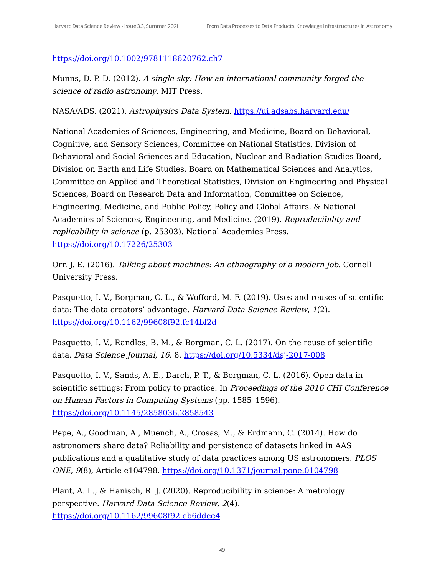#### <https://doi.org/10.1002/9781118620762.ch7>

Munns, D. P. D. (2012). A single sky: How an international community forged the science of radio astronomy. MIT Press.

NASA/ADS. (2021). Astrophysics Data System. <https://ui.adsabs.harvard.edu/>

National Academies of Sciences, Engineering, and Medicine, Board on Behavioral, Cognitive, and Sensory Sciences, Committee on National Statistics, Division of Behavioral and Social Sciences and Education, Nuclear and Radiation Studies Board, Division on Earth and Life Studies, Board on Mathematical Sciences and Analytics, Committee on Applied and Theoretical Statistics, Division on Engineering and Physical Sciences, Board on Research Data and Information, Committee on Science, Engineering, Medicine, and Public Policy, Policy and Global Affairs, & National Academies of Sciences, Engineering, and Medicine. (2019). Reproducibility and replicability in science (p. 25303). National Academies Press. <https://doi.org/10.17226/25303>

Orr, J. E. (2016). Talking about machines: An ethnography of <sup>a</sup> modern job. Cornell University Press.

Pasquetto, I. V., Borgman, C. L., & Wofford, M. F. (2019). Uses and reuses of scientific data: The data creators' advantage. Harvard Data Science Review, 1(2). <https://doi.org/10.1162/99608f92.fc14bf2d>

Pasquetto, I. V., Randles, B. M., & Borgman, C. L. (2017). On the reuse of scientific data. Data Science Journal, 16, 8. <https://doi.org/10.5334/dsj-2017-008>

Pasquetto, I. V., Sands, A. E., Darch, P. T., & Borgman, C. L. (2016). Open data in scientific settings: From policy to practice. In *Proceedings of the 2016 CHI Conference* on Human Factors in Computing Systems (pp. 1585–1596). <https://doi.org/10.1145/2858036.2858543>

Pepe, A., Goodman, A., Muench, A., Crosas, M., & Erdmann, C. (2014). How do astronomers share data? Reliability and persistence of datasets linked in AAS publications and a qualitative study of data practices among US astronomers. PLOS ONE, 9(8), Article e104798. [https://doi.org/10.1371/journal.pone.0104798](https://doi.org/10.1371/journal.pone.010479)

Plant, A. L., & Hanisch, R. J. (2020). Reproducibility in science: A metrology perspective. Harvard Data Science Review, 2(4). <https://doi.org/10.1162/99608f92.eb6ddee4>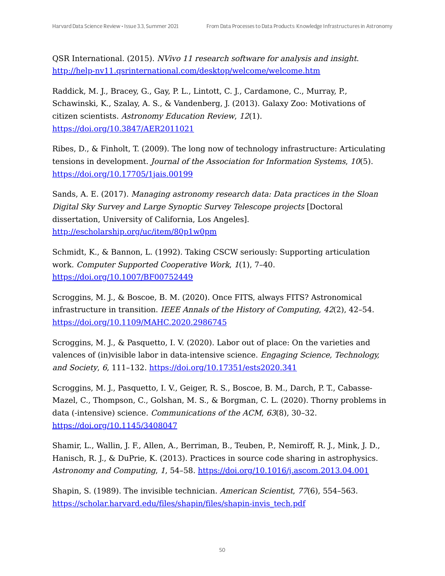QSR International. (2015). NVivo 11 research software for analysis and insight. <http://help-nv11.qsrinternational.com/desktop/welcome/welcome.htm>

Raddick, M. J., Bracey, G., Gay, P. L., Lintott, C. J., Cardamone, C., Murray, P., Schawinski, K., Szalay, A. S., & Vandenberg, J. (2013). Galaxy Zoo: Motivations of citizen scientists. Astronomy Education Review, 12(1). <https://doi.org/10.3847/AER2011021>

Ribes, D., & Finholt, T. (2009). The long now of technology infrastructure: Articulating tensions in development. Journal of the Association for Information Systems, 10(5). <https://doi.org/10.17705/1jais.00199>

Sands, A. E. (2017). Managing astronomy research data: Data practices in the Sloan Digital Sky Survey and Large Synoptic Survey Telescope projects [Doctoral dissertation, University of California, Los Angeles]. <http://escholarship.org/uc/item/80p1w0pm>

Schmidt, K., & Bannon, L. (1992). Taking CSCW seriously: Supporting articulation work. Computer Supported Cooperative Work, 1(1), 7–40. <https://doi.org/10.1007/BF00752449>

Scroggins, M. J., & Boscoe, B. M. (2020). Once FITS, always FITS? Astronomical infrastructure in transition. IEEE Annals of the History of Computing, 42(2), 42–54. <https://doi.org/10.1109/MAHC.2020.2986745>

Scroggins, M. J., & Pasquetto, I. V. (2020). Labor out of place: On the varieties and valences of (in)visible labor in data-intensive science. Engaging Science, Technology, and Society, 6, 111-132. <https://doi.org/10.17351/ests2020.341>

Scroggins, M. J., Pasquetto, I. V., Geiger, R. S., Boscoe, B. M., Darch, P. T., Cabasse-Mazel, C., Thompson, C., Golshan, M. S., & Borgman, C. L. (2020). Thorny problems in data (-intensive) science. *Communications of the ACM*,  $63(8)$ ,  $30-32$ . <https://doi.org/10.1145/3408047>

Shamir, L., Wallin, J. F., Allen, A., Berriman, B., Teuben, P., Nemiroff, R. J., Mink, J. D., Hanisch, R. J., & DuPrie, K. (2013). Practices in source code sharing in astrophysics. Astronomy and Computing, 1, 54–58. <https://doi.org/10.1016/j.ascom.2013.04.001>

Shapin, S. (1989). The invisible technician. American Scientist, 77(6), 554-563. [https://scholar.harvard.edu/files/shapin/files/shapin-invis\\_tech.pdf](https://scholar.harvard.edu/files/shapin/files/shapin-invis_tech.pdf)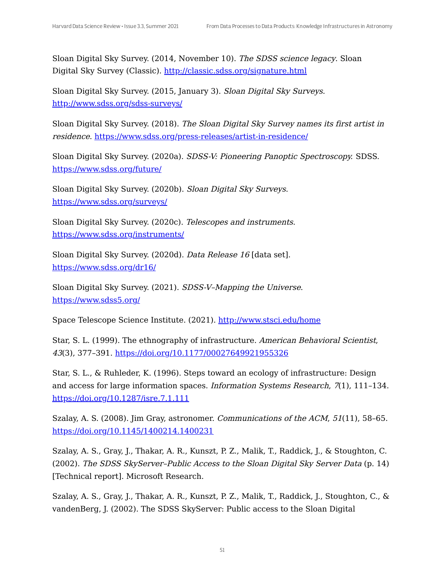Sloan Digital Sky Survey. (2014, November 10). The SDSS science legacy. Sloan Digital Sky Survey (Classic). <http://classic.sdss.org/signature.html>

Sloan Digital Sky Survey. (2015, January 3). Sloan Digital Sky Surveys. <http://www.sdss.org/sdss-surveys/>

Sloan Digital Sky Survey. (2018). The Sloan Digital Sky Survey names its first artist in residence. <https://www.sdss.org/press-releases/artist-in-residence/>

Sloan Digital Sky Survey. (2020a). SDSS-V: Pioneering Panoptic Spectroscopy. SDSS. <https://www.sdss.org/future/>

Sloan Digital Sky Survey. (2020b). Sloan Digital Sky Surveys. <https://www.sdss.org/surveys/>

Sloan Digital Sky Survey. (2020c). Telescopes and instruments. <https://www.sdss.org/instruments/>

Sloan Digital Sky Survey. (2020d). Data Release 16 [data set]. <https://www.sdss.org/dr16/>

Sloan Digital Sky Survey. (2021). SDSS-V–Mapping the Universe. <https://www.sdss5.org/>

Space Telescope Science Institute. (2021). <http://www.stsci.edu/home>

Star, S. L. (1999). The ethnography of infrastructure. American Behavioral Scientist, 43(3), 377–391. <https://doi.org/10.1177/00027649921955326>

Star, S. L., & Ruhleder, K. (1996). Steps toward an ecology of infrastructure: Design and access for large information spaces. Information Systems Research, 7(1), 111–134. <https://doi.org/10.1287/isre.7.1.111>

Szalay, A. S. (2008). Jim Gray, astronomer. *Communications of the ACM*, 51(11), 58-65. <https://doi.org/10.1145/1400214.1400231>

Szalay, A. S., Gray, J., Thakar, A. R., Kunszt, P. Z., Malik, T., Raddick, J., & Stoughton, C. (2002). The SDSS SkyServer–Public Access to the Sloan Digital Sky Server Data (p. 14) [Technical report]. Microsoft Research.

Szalay, A. S., Gray, J., Thakar, A. R., Kunszt, P. Z., Malik, T., Raddick, J., Stoughton, C., & vandenBerg, J. (2002). The SDSS SkyServer: Public access to the Sloan Digital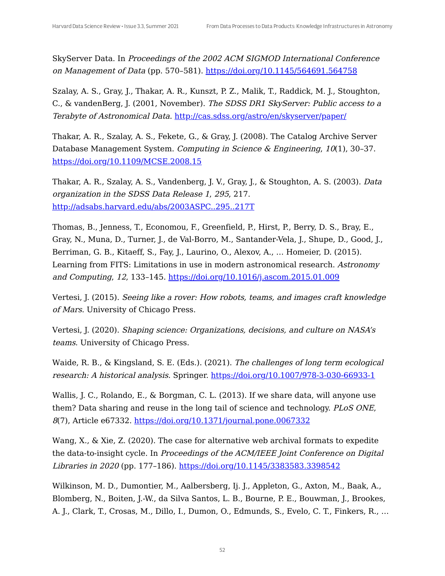SkyServer Data. In Proceedings of the 2002 ACM SIGMOD International Conference on Management of Data (pp. 570-581). <https://doi.org/10.1145/564691.564758>

Szalay, A. S., Gray, J., Thakar, A. R., Kunszt, P. Z., Malik, T., Raddick, M. J., Stoughton, C., & vandenBerg, J. (2001, November). The SDSS DR1 SkyServer: Public access to <sup>a</sup> Terabyte of Astronomical Data. <http://cas.sdss.org/astro/en/skyserver/paper/>

Thakar, A. R., Szalay, A. S., Fekete, G., & Gray, J. (2008). The Catalog Archive Server Database Management System. Computing in Science & Engineering, 10(1), 30–37. <https://doi.org/10.1109/MCSE.2008.15>

Thakar, A. R., Szalay, A. S., Vandenberg, J. V., Gray, J., & Stoughton, A. S. (2003). Data organization in the SDSS Data Release 1, 295, 217. <http://adsabs.harvard.edu/abs/2003ASPC..295..217T>

Thomas, B., Jenness, T., Economou, F., Greenfield, P., Hirst, P., Berry, D. S., Bray, E., Gray, N., Muna, D., Turner, J., de Val-Borro, M., Santander-Vela, J., Shupe, D., Good, J., Berriman, G. B., Kitaeff, S., Fay, J., Laurino, O., Alexov, A., … Homeier, D. (2015). Learning from FITS: Limitations in use in modern astronomical research. Astronomy and Computing, 12, 133–145. <https://doi.org/10.1016/j.ascom.2015.01.009>

Vertesi, J. (2015). Seeing like <sup>a</sup> rover: How robots, teams, and images craft knowledge of Mars. University of Chicago Press.

Vertesi, J. (2020). Shaping science: Organizations, decisions, and culture on NASA's teams. University of Chicago Press.

Waide, R. B., & Kingsland, S. E. (Eds.). (2021). The challenges of long term ecological research: A historical analysis. Springer. <https://doi.org/10.1007/978-3-030-66933-1>

Wallis, J. C., Rolando, E., & Borgman, C. L. (2013). If we share data, will anyone use them? Data sharing and reuse in the long tail of science and technology. PLoS ONE, 8(7), Article e67332. <https://doi.org/10.1371/journal.pone.0067332>

Wang, X., & Xie, Z. (2020). The case for alternative web archival formats to expedite the data-to-insight cycle. In Proceedings of the ACM/IEEE Joint Conference on Digital Libraries in 2020 (pp. 177–186). <https://doi.org/10.1145/3383583.3398542>

Wilkinson, M. D., Dumontier, M., Aalbersberg, Ij. J., Appleton, G., Axton, M., Baak, A., Blomberg, N., Boiten, J.-W., da Silva Santos, L. B., Bourne, P. E., Bouwman, J., Brookes, A. J., Clark, T., Crosas, M., Dillo, I., Dumon, O., Edmunds, S., Evelo, C. T., Finkers, R., …